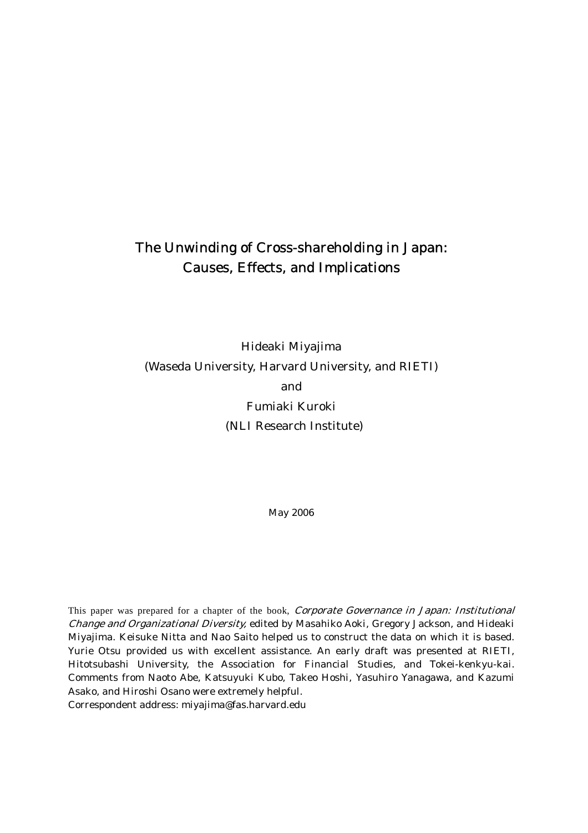# The Unwinding of Cross-shareholding in Japan: Causes, Effects, and Implications

# Hideaki Miyajima (Waseda University, Harvard University, and RIETI) and Fumiaki Kuroki (NLI Research Institute)

May 2006

This paper was prepared for a chapter of the book, Corporate Governance in Japan: Institutional Change and Organizational Diversity, edited by Masahiko Aoki, Gregory Jackson, and Hideaki Miyajima. Keisuke Nitta and Nao Saito helped us to construct the data on which it is based. Yurie Otsu provided us with excellent assistance. An early draft was presented at RIETI, Hitotsubashi University, the Association for Financial Studies, and Tokei-kenkyu-kai. Comments from Naoto Abe, Katsuyuki Kubo, Takeo Hoshi, Yasuhiro Yanagawa, and Kazumi Asako, and Hiroshi Osano were extremely helpful. Correspondent address: miyajima@fas.harvard.edu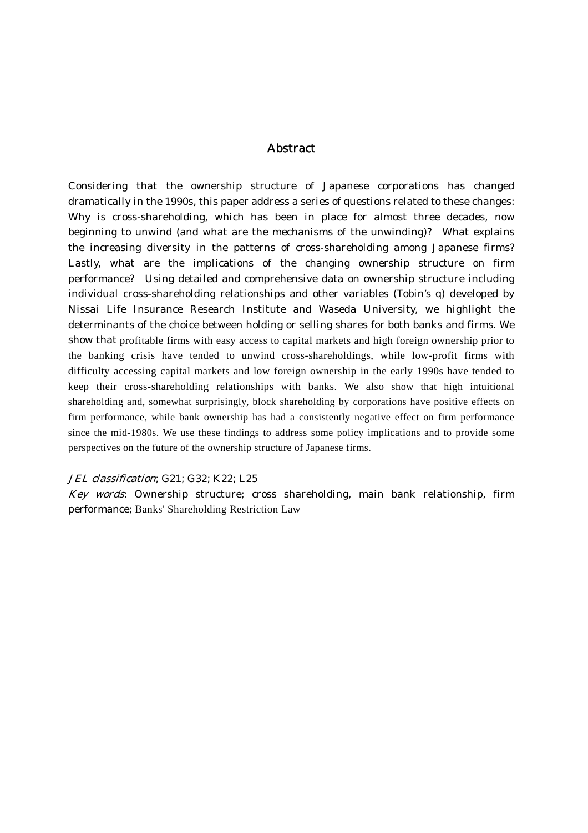# **Abstract**

Considering that the ownership structure of Japanese corporations has changed dramatically in the 1990s, this paper address a series of questions related to these changes: Why is cross-shareholding, which has been in place for almost three decades, now beginning to unwind (and what are the mechanisms of the unwinding)? What explains the increasing diversity in the patterns of cross-shareholding among Japanese firms? Lastly, what are the implications of the changing ownership structure on firm performance? Using detailed and comprehensive data on ownership structure including individual cross-shareholding relationships and other variables (Tobin's q) developed by Nissai Life Insurance Research Institute and Waseda University, we highlight the determinants of the choice between holding or selling shares for both banks and firms. We show that profitable firms with easy access to capital markets and high foreign ownership prior to the banking crisis have tended to unwind cross-shareholdings, while low-profit firms with difficulty accessing capital markets and low foreign ownership in the early 1990s have tended to keep their cross-shareholding relationships with banks. We also show that high intuitional shareholding and, somewhat surprisingly, block shareholding by corporations have positive effects on firm performance, while bank ownership has had a consistently negative effect on firm performance since the mid-1980s. We use these findings to address some policy implications and to provide some perspectives on the future of the ownership structure of Japanese firms.

#### JEL classification; G21; G32; K22; L25

Key words: Ownership structure; cross shareholding, main bank relationship, firm performance; Banks' Shareholding Restriction Law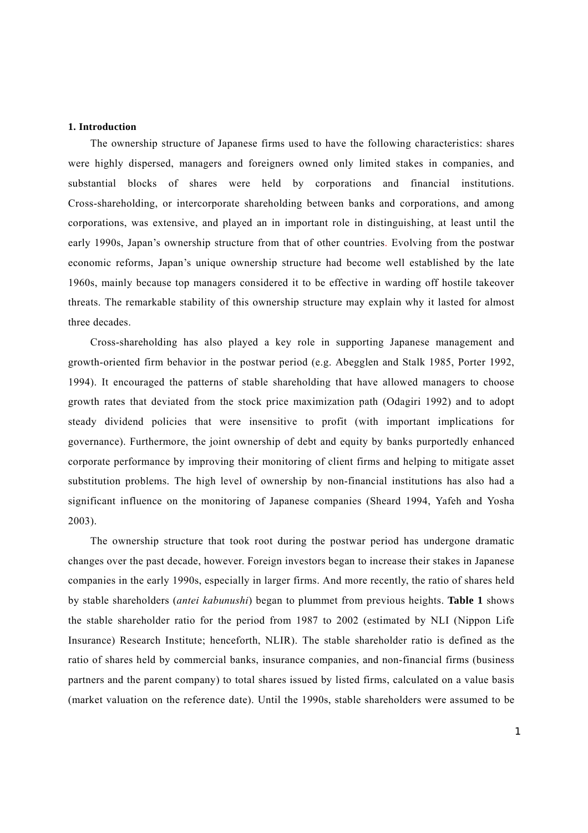#### **1. Introduction**

The ownership structure of Japanese firms used to have the following characteristics: shares were highly dispersed, managers and foreigners owned only limited stakes in companies, and substantial blocks of shares were held by corporations and financial institutions. Cross-shareholding, or intercorporate shareholding between banks and corporations, and among corporations, was extensive, and played an in important role in distinguishing, at least until the early 1990s, Japan's ownership structure from that of other countries. Evolving from the postwar economic reforms, Japan's unique ownership structure had become well established by the late 1960s, mainly because top managers considered it to be effective in warding off hostile takeover threats. The remarkable stability of this ownership structure may explain why it lasted for almost three decades.

Cross-shareholding has also played a key role in supporting Japanese management and growth-oriented firm behavior in the postwar period (e.g. Abegglen and Stalk 1985, Porter 1992, 1994). It encouraged the patterns of stable shareholding that have allowed managers to choose growth rates that deviated from the stock price maximization path (Odagiri 1992) and to adopt steady dividend policies that were insensitive to profit (with important implications for governance). Furthermore, the joint ownership of debt and equity by banks purportedly enhanced corporate performance by improving their monitoring of client firms and helping to mitigate asset substitution problems. The high level of ownership by non-financial institutions has also had a significant influence on the monitoring of Japanese companies (Sheard 1994, Yafeh and Yosha 2003).

The ownership structure that took root during the postwar period has undergone dramatic changes over the past decade, however. Foreign investors began to increase their stakes in Japanese companies in the early 1990s, especially in larger firms. And more recently, the ratio of shares held by stable shareholders (*antei kabunushi*) began to plummet from previous heights. **Table 1** shows the stable shareholder ratio for the period from 1987 to 2002 (estimated by NLI (Nippon Life Insurance) Research Institute; henceforth, NLIR). The stable shareholder ratio is defined as the ratio of shares held by commercial banks, insurance companies, and non-financial firms (business partners and the parent company) to total shares issued by listed firms, calculated on a value basis (market valuation on the reference date). Until the 1990s, stable shareholders were assumed to be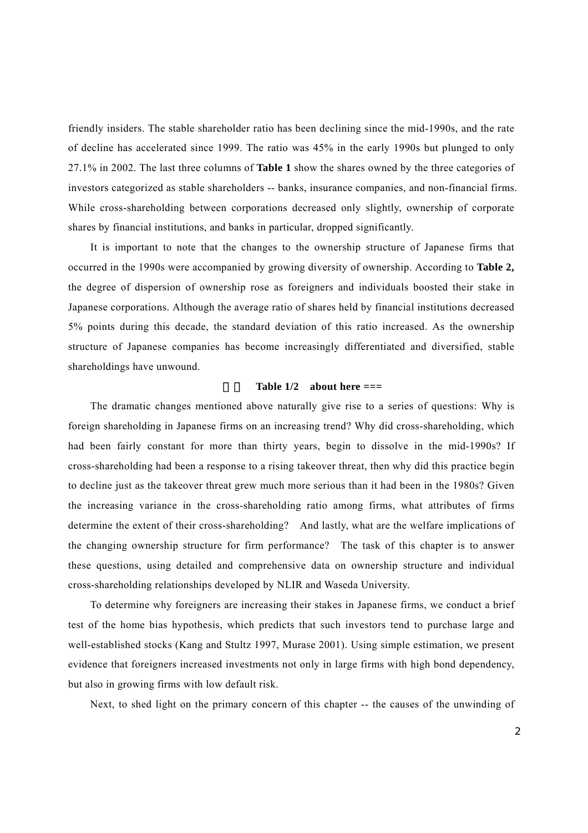friendly insiders. The stable shareholder ratio has been declining since the mid-1990s, and the rate of decline has accelerated since 1999. The ratio was 45% in the early 1990s but plunged to only 27.1% in 2002. The last three columns of **Table 1** show the shares owned by the three categories of investors categorized as stable shareholders -- banks, insurance companies, and non-financial firms. While cross-shareholding between corporations decreased only slightly, ownership of corporate shares by financial institutions, and banks in particular, dropped significantly.

It is important to note that the changes to the ownership structure of Japanese firms that occurred in the 1990s were accompanied by growing diversity of ownership. According to **Table 2,** the degree of dispersion of ownership rose as foreigners and individuals boosted their stake in Japanese corporations. Although the average ratio of shares held by financial institutions decreased 5% points during this decade, the standard deviation of this ratio increased. As the ownership structure of Japanese companies has become increasingly differentiated and diversified, stable shareholdings have unwound.

# **Table 1/2 about here**  $==$

The dramatic changes mentioned above naturally give rise to a series of questions: Why is foreign shareholding in Japanese firms on an increasing trend? Why did cross-shareholding, which had been fairly constant for more than thirty years, begin to dissolve in the mid-1990s? If cross-shareholding had been a response to a rising takeover threat, then why did this practice begin to decline just as the takeover threat grew much more serious than it had been in the 1980s? Given the increasing variance in the cross-shareholding ratio among firms, what attributes of firms determine the extent of their cross-shareholding? And lastly, what are the welfare implications of the changing ownership structure for firm performance? The task of this chapter is to answer these questions, using detailed and comprehensive data on ownership structure and individual cross-shareholding relationships developed by NLIR and Waseda University.

To determine why foreigners are increasing their stakes in Japanese firms, we conduct a brief test of the home bias hypothesis, which predicts that such investors tend to purchase large and well-established stocks (Kang and Stultz 1997, Murase 2001). Using simple estimation, we present evidence that foreigners increased investments not only in large firms with high bond dependency, but also in growing firms with low default risk.

Next, to shed light on the primary concern of this chapter -- the causes of the unwinding of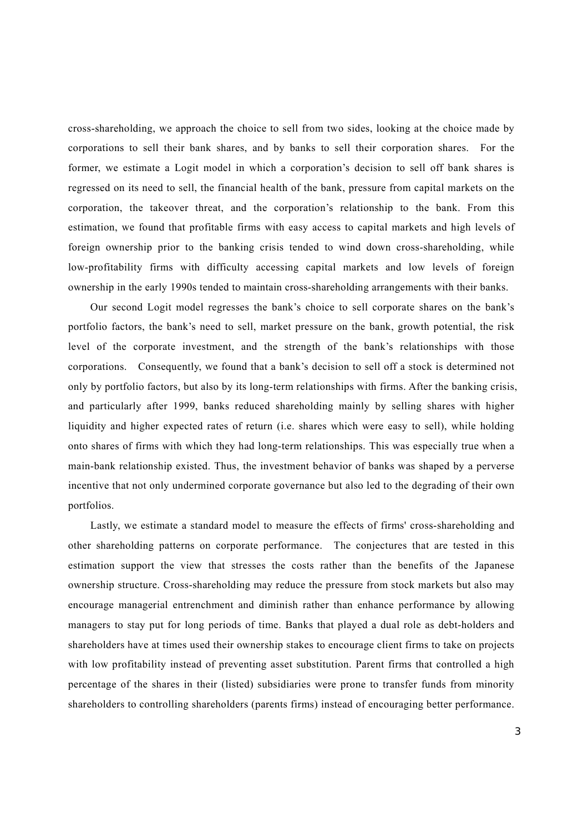cross-shareholding, we approach the choice to sell from two sides, looking at the choice made by corporations to sell their bank shares, and by banks to sell their corporation shares. For the former, we estimate a Logit model in which a corporation's decision to sell off bank shares is regressed on its need to sell, the financial health of the bank, pressure from capital markets on the corporation, the takeover threat, and the corporation's relationship to the bank. From this estimation, we found that profitable firms with easy access to capital markets and high levels of foreign ownership prior to the banking crisis tended to wind down cross-shareholding, while low-profitability firms with difficulty accessing capital markets and low levels of foreign ownership in the early 1990s tended to maintain cross-shareholding arrangements with their banks.

Our second Logit model regresses the bank's choice to sell corporate shares on the bank's portfolio factors, the bank's need to sell, market pressure on the bank, growth potential, the risk level of the corporate investment, and the strength of the bank's relationships with those corporations. Consequently, we found that a bank's decision to sell off a stock is determined not only by portfolio factors, but also by its long-term relationships with firms. After the banking crisis, and particularly after 1999, banks reduced shareholding mainly by selling shares with higher liquidity and higher expected rates of return (i.e. shares which were easy to sell), while holding onto shares of firms with which they had long-term relationships. This was especially true when a main-bank relationship existed. Thus, the investment behavior of banks was shaped by a perverse incentive that not only undermined corporate governance but also led to the degrading of their own portfolios.

Lastly, we estimate a standard model to measure the effects of firms' cross-shareholding and other shareholding patterns on corporate performance. The conjectures that are tested in this estimation support the view that stresses the costs rather than the benefits of the Japanese ownership structure. Cross-shareholding may reduce the pressure from stock markets but also may encourage managerial entrenchment and diminish rather than enhance performance by allowing managers to stay put for long periods of time. Banks that played a dual role as debt-holders and shareholders have at times used their ownership stakes to encourage client firms to take on projects with low profitability instead of preventing asset substitution. Parent firms that controlled a high percentage of the shares in their (listed) subsidiaries were prone to transfer funds from minority shareholders to controlling shareholders (parents firms) instead of encouraging better performance.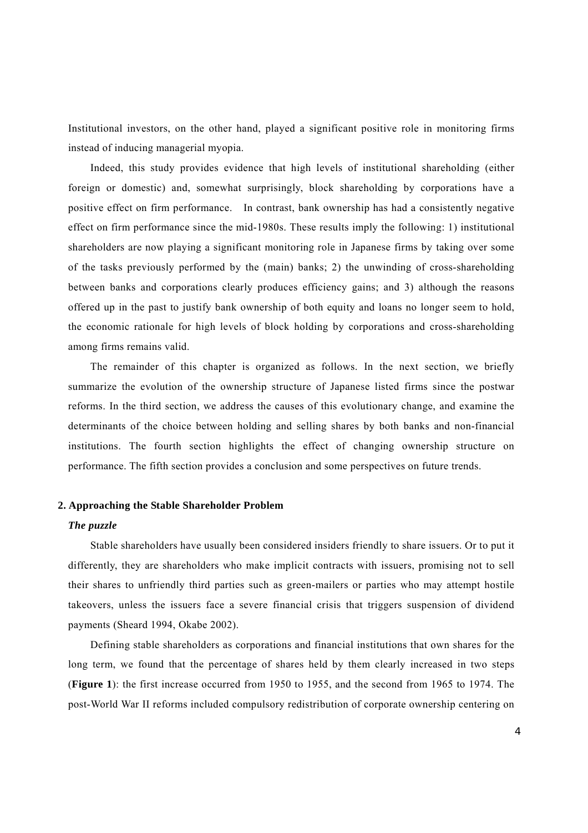Institutional investors, on the other hand, played a significant positive role in monitoring firms instead of inducing managerial myopia.

Indeed, this study provides evidence that high levels of institutional shareholding (either foreign or domestic) and, somewhat surprisingly, block shareholding by corporations have a positive effect on firm performance. In contrast, bank ownership has had a consistently negative effect on firm performance since the mid-1980s. These results imply the following: 1) institutional shareholders are now playing a significant monitoring role in Japanese firms by taking over some of the tasks previously performed by the (main) banks; 2) the unwinding of cross-shareholding between banks and corporations clearly produces efficiency gains; and 3) although the reasons offered up in the past to justify bank ownership of both equity and loans no longer seem to hold, the economic rationale for high levels of block holding by corporations and cross-shareholding among firms remains valid.

The remainder of this chapter is organized as follows. In the next section, we briefly summarize the evolution of the ownership structure of Japanese listed firms since the postwar reforms. In the third section, we address the causes of this evolutionary change, and examine the determinants of the choice between holding and selling shares by both banks and non-financial institutions. The fourth section highlights the effect of changing ownership structure on performance. The fifth section provides a conclusion and some perspectives on future trends.

#### **2. Approaching the Stable Shareholder Problem**

# *The puzzle*

Stable shareholders have usually been considered insiders friendly to share issuers. Or to put it differently, they are shareholders who make implicit contracts with issuers, promising not to sell their shares to unfriendly third parties such as green-mailers or parties who may attempt hostile takeovers, unless the issuers face a severe financial crisis that triggers suspension of dividend payments (Sheard 1994, Okabe 2002).

Defining stable shareholders as corporations and financial institutions that own shares for the long term, we found that the percentage of shares held by them clearly increased in two steps (**Figure 1**): the first increase occurred from 1950 to 1955, and the second from 1965 to 1974. The post-World War II reforms included compulsory redistribution of corporate ownership centering on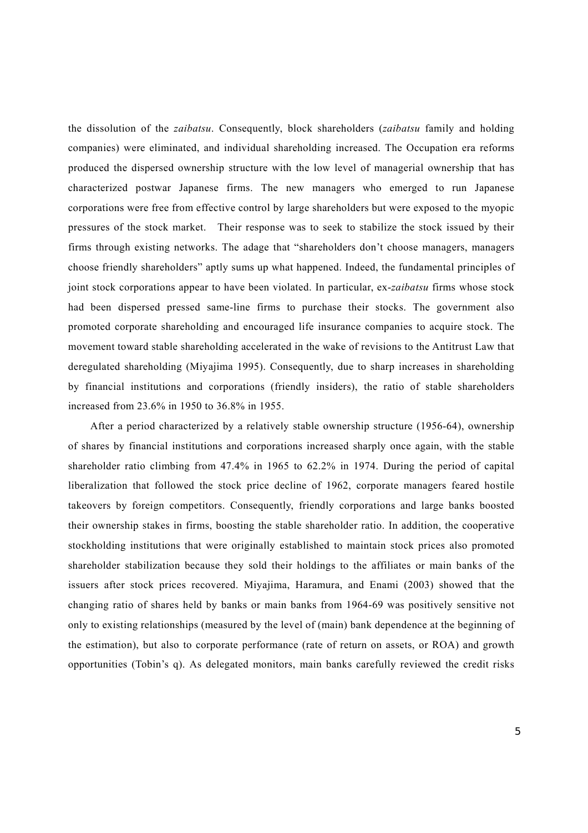the dissolution of the *zaibatsu*. Consequently, block shareholders (*zaibatsu* family and holding companies) were eliminated, and individual shareholding increased. The Occupation era reforms produced the dispersed ownership structure with the low level of managerial ownership that has characterized postwar Japanese firms. The new managers who emerged to run Japanese corporations were free from effective control by large shareholders but were exposed to the myopic pressures of the stock market. Their response was to seek to stabilize the stock issued by their firms through existing networks. The adage that "shareholders don't choose managers, managers choose friendly shareholders" aptly sums up what happened. Indeed, the fundamental principles of joint stock corporations appear to have been violated. In particular, ex-*zaibatsu* firms whose stock had been dispersed pressed same-line firms to purchase their stocks. The government also promoted corporate shareholding and encouraged life insurance companies to acquire stock. The movement toward stable shareholding accelerated in the wake of revisions to the Antitrust Law that deregulated shareholding (Miyajima 1995). Consequently, due to sharp increases in shareholding by financial institutions and corporations (friendly insiders), the ratio of stable shareholders increased from 23.6% in 1950 to 36.8% in 1955.

After a period characterized by a relatively stable ownership structure (1956-64), ownership of shares by financial institutions and corporations increased sharply once again, with the stable shareholder ratio climbing from 47.4% in 1965 to 62.2% in 1974. During the period of capital liberalization that followed the stock price decline of 1962, corporate managers feared hostile takeovers by foreign competitors. Consequently, friendly corporations and large banks boosted their ownership stakes in firms, boosting the stable shareholder ratio. In addition, the cooperative stockholding institutions that were originally established to maintain stock prices also promoted shareholder stabilization because they sold their holdings to the affiliates or main banks of the issuers after stock prices recovered. Miyajima, Haramura, and Enami (2003) showed that the changing ratio of shares held by banks or main banks from 1964-69 was positively sensitive not only to existing relationships (measured by the level of (main) bank dependence at the beginning of the estimation), but also to corporate performance (rate of return on assets, or ROA) and growth opportunities (Tobin's q). As delegated monitors, main banks carefully reviewed the credit risks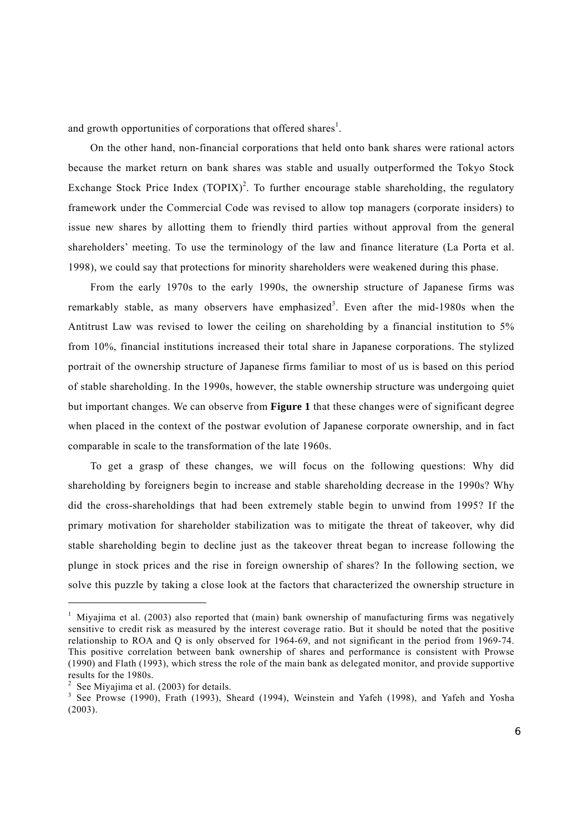and growth opportunities of corporations that offered shares<sup>1</sup>.

On the other hand, non-financial corporations that held onto bank shares were rational actors because the market return on bank shares was stable and usually outperformed the Tokyo Stock Exchange Stock Price Index  $(TOPIX)^2$ . To further encourage stable shareholding, the regulatory framework under the Commercial Code was revised to allow top managers (corporate insiders) to issue new shares by allotting them to friendly third parties without approval from the general shareholders' meeting. To use the terminology of the law and finance literature (La Porta et al. 1998), we could say that protections for minority shareholders were weakened during this phase.

From the early 1970s to the early 1990s, the ownership structure of Japanese firms was remarkably stable, as many observers have emphasized<sup>3</sup>. Even after the mid-1980s when the Antitrust Law was revised to lower the ceiling on shareholding by a financial institution to 5% from 10%, financial institutions increased their total share in Japanese corporations. The stylized portrait of the ownership structure of Japanese firms familiar to most of us is based on this period of stable shareholding. In the 1990s, however, the stable ownership structure was undergoing quiet but important changes. We can observe from **Figure 1** that these changes were of significant degree when placed in the context of the postwar evolution of Japanese corporate ownership, and in fact comparable in scale to the transformation of the late 1960s.

To get a grasp of these changes, we will focus on the following questions: Why did shareholding by foreigners begin to increase and stable shareholding decrease in the 1990s? Why did the cross-shareholdings that had been extremely stable begin to unwind from 1995? If the primary motivation for shareholder stabilization was to mitigate the threat of takeover, why did stable shareholding begin to decline just as the takeover threat began to increase following the plunge in stock prices and the rise in foreign ownership of shares? In the following section, we solve this puzzle by taking a close look at the factors that characterized the ownership structure in

 $\overline{a}$ 

<sup>&</sup>lt;sup>1</sup> Miyajima et al. (2003) also reported that (main) bank ownership of manufacturing firms was negatively sensitive to credit risk as measured by the interest coverage ratio. But it should be noted that the positive relationship to ROA and Q is only observed for 1964-69, and not significant in the period from 1969-74. This positive correlation between bank ownership of shares and performance is consistent with Prowse (1990) and Flath (1993), which stress the role of the main bank as delegated monitor, and provide supportive results for the 1980s.

 $2^2$  See Miyajima et al. (2003) for details.

<sup>&</sup>lt;sup>3</sup> See Prowse (1990), Frath (1993), Sheard (1994), Weinstein and Yafeh (1998), and Yafeh and Yosha  $(2003)$ .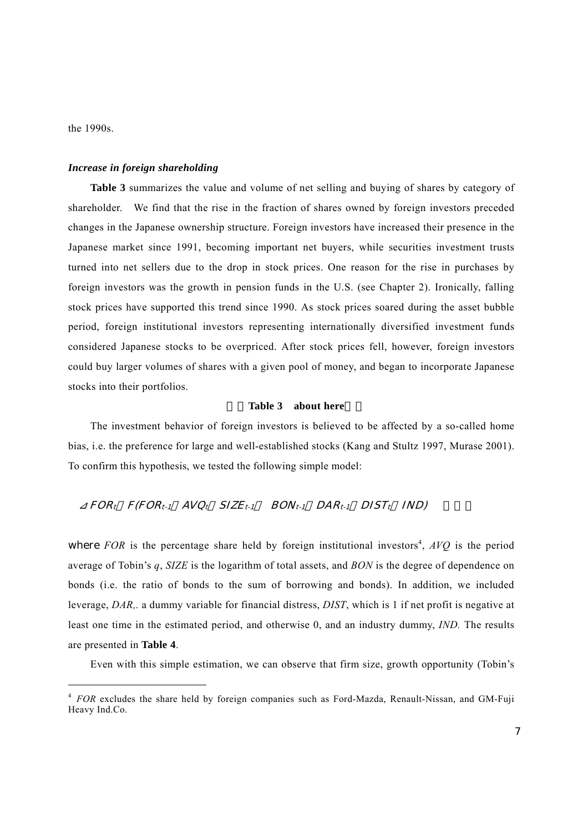the 1990s.

l

## *Increase in foreign shareholding*

**Table 3** summarizes the value and volume of net selling and buying of shares by category of shareholder. We find that the rise in the fraction of shares owned by foreign investors preceded changes in the Japanese ownership structure. Foreign investors have increased their presence in the Japanese market since 1991, becoming important net buyers, while securities investment trusts turned into net sellers due to the drop in stock prices. One reason for the rise in purchases by foreign investors was the growth in pension funds in the U.S. (see Chapter 2). Ironically, falling stock prices have supported this trend since 1990. As stock prices soared during the asset bubble period, foreign institutional investors representing internationally diversified investment funds considered Japanese stocks to be overpriced. After stock prices fell, however, foreign investors could buy larger volumes of shares with a given pool of money, and began to incorporate Japanese stocks into their portfolios.

# Table 3 about here

The investment behavior of foreign investors is believed to be affected by a so-called home bias, i.e. the preference for large and well-established stocks (Kang and Stultz 1997, Murase 2001). To confirm this hypothesis, we tested the following simple model:

# $FOR_t$   $F(FOR_{t-1}$   $AVQ_t$   $SIZE_{t-1}$   $BON_{t-1}$   $DAR_{t-1}$   $DIST_t$   $IND)$

where *FOR* is the percentage share held by foreign institutional investors<sup>4</sup>,  $AVQ$  is the period average of Tobin's *q*, *SIZE* is the logarithm of total assets, and *BON* is the degree of dependence on bonds (i.e. the ratio of bonds to the sum of borrowing and bonds). In addition, we included leverage, *DAR,.* a dummy variable for financial distress, *DIST*, which is 1 if net profit is negative at least one time in the estimated period, and otherwise 0, and an industry dummy, *IND.* The results are presented in **Table 4**.

Even with this simple estimation, we can observe that firm size, growth opportunity (Tobin's

<sup>4</sup> *FOR* excludes the share held by foreign companies such as Ford-Mazda, Renault-Nissan, and GM-Fuji Heavy Ind.Co.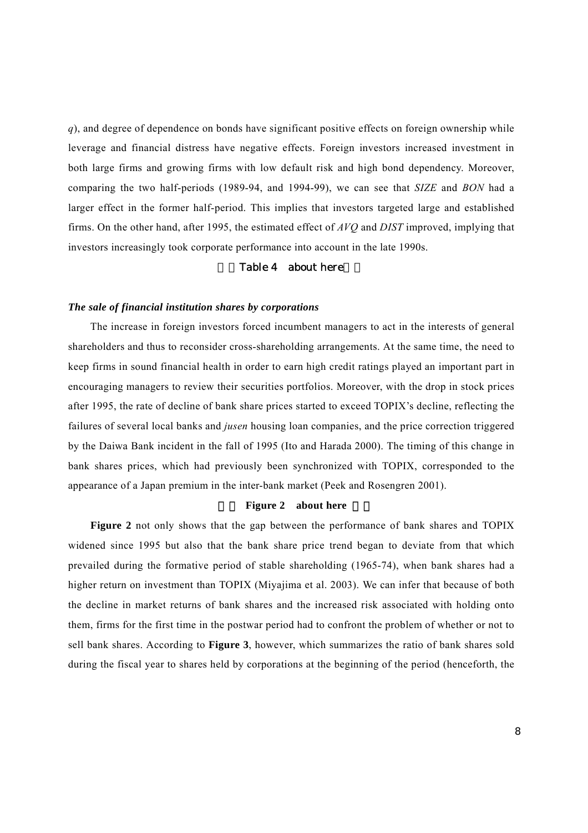*q*), and degree of dependence on bonds have significant positive effects on foreign ownership while leverage and financial distress have negative effects. Foreign investors increased investment in both large firms and growing firms with low default risk and high bond dependency. Moreover, comparing the two half-periods (1989-94, and 1994-99), we can see that *SIZE* and *BON* had a larger effect in the former half-period. This implies that investors targeted large and established firms. On the other hand, after 1995, the estimated effect of *AVQ* and *DIST* improved, implying that investors increasingly took corporate performance into account in the late 1990s.

# Table 4 about here

## *The sale of financial institution shares by corporations*

The increase in foreign investors forced incumbent managers to act in the interests of general shareholders and thus to reconsider cross-shareholding arrangements. At the same time, the need to keep firms in sound financial health in order to earn high credit ratings played an important part in encouraging managers to review their securities portfolios. Moreover, with the drop in stock prices after 1995, the rate of decline of bank share prices started to exceed TOPIX's decline, reflecting the failures of several local banks and *jusen* housing loan companies, and the price correction triggered by the Daiwa Bank incident in the fall of 1995 (Ito and Harada 2000). The timing of this change in bank shares prices, which had previously been synchronized with TOPIX, corresponded to the appearance of a Japan premium in the inter-bank market (Peek and Rosengren 2001).

#### Figure 2 about here

**Figure 2** not only shows that the gap between the performance of bank shares and TOPIX widened since 1995 but also that the bank share price trend began to deviate from that which prevailed during the formative period of stable shareholding (1965-74), when bank shares had a higher return on investment than TOPIX (Miyajima et al. 2003). We can infer that because of both the decline in market returns of bank shares and the increased risk associated with holding onto them, firms for the first time in the postwar period had to confront the problem of whether or not to sell bank shares. According to **Figure 3**, however, which summarizes the ratio of bank shares sold during the fiscal year to shares held by corporations at the beginning of the period (henceforth, the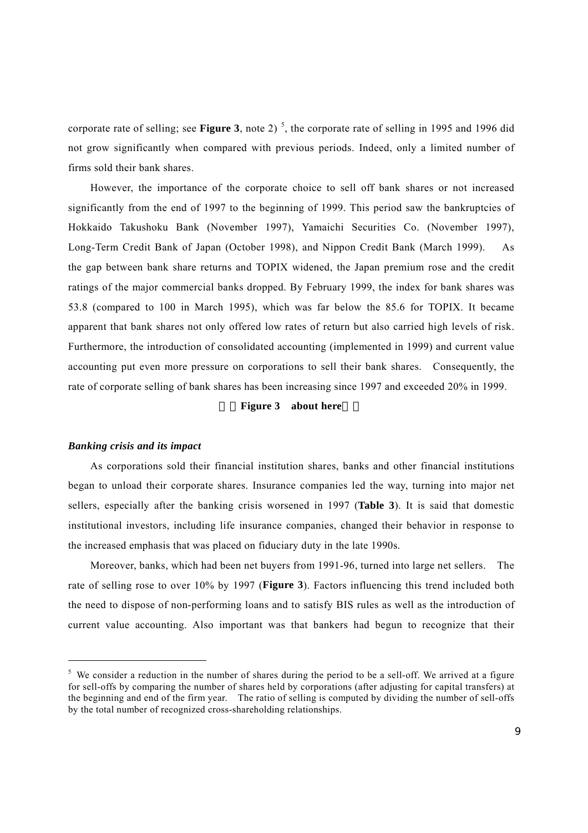corporate rate of selling; see **Figure 3**, note 2)<sup>5</sup>, the corporate rate of selling in 1995 and 1996 did not grow significantly when compared with previous periods. Indeed, only a limited number of firms sold their bank shares.

However, the importance of the corporate choice to sell off bank shares or not increased significantly from the end of 1997 to the beginning of 1999. This period saw the bankruptcies of Hokkaido Takushoku Bank (November 1997), Yamaichi Securities Co. (November 1997), Long-Term Credit Bank of Japan (October 1998), and Nippon Credit Bank (March 1999). As the gap between bank share returns and TOPIX widened, the Japan premium rose and the credit ratings of the major commercial banks dropped. By February 1999, the index for bank shares was 53.8 (compared to 100 in March 1995), which was far below the 85.6 for TOPIX. It became apparent that bank shares not only offered low rates of return but also carried high levels of risk. Furthermore, the introduction of consolidated accounting (implemented in 1999) and current value accounting put even more pressure on corporations to sell their bank shares. Consequently, the rate of corporate selling of bank shares has been increasing since 1997 and exceeded 20% in 1999.

#### **Figure 3** about here

#### *Banking crisis and its impact*

l

As corporations sold their financial institution shares, banks and other financial institutions began to unload their corporate shares. Insurance companies led the way, turning into major net sellers, especially after the banking crisis worsened in 1997 (**Table 3**). It is said that domestic institutional investors, including life insurance companies, changed their behavior in response to the increased emphasis that was placed on fiduciary duty in the late 1990s.

Moreover, banks, which had been net buyers from 1991-96, turned into large net sellers. The rate of selling rose to over 10% by 1997 (**Figure 3**). Factors influencing this trend included both the need to dispose of non-performing loans and to satisfy BIS rules as well as the introduction of current value accounting. Also important was that bankers had begun to recognize that their

 $5$  We consider a reduction in the number of shares during the period to be a sell-off. We arrived at a figure for sell-offs by comparing the number of shares held by corporations (after adjusting for capital transfers) at the beginning and end of the firm year. The ratio of selling is computed by dividing the number of sell-offs by the total number of recognized cross-shareholding relationships.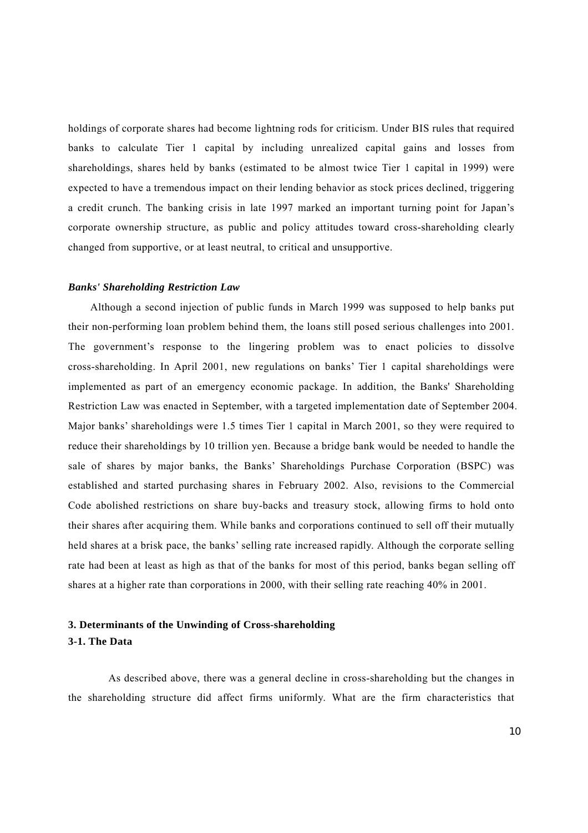holdings of corporate shares had become lightning rods for criticism. Under BIS rules that required banks to calculate Tier 1 capital by including unrealized capital gains and losses from shareholdings, shares held by banks (estimated to be almost twice Tier 1 capital in 1999) were expected to have a tremendous impact on their lending behavior as stock prices declined, triggering a credit crunch. The banking crisis in late 1997 marked an important turning point for Japan's corporate ownership structure, as public and policy attitudes toward cross-shareholding clearly changed from supportive, or at least neutral, to critical and unsupportive.

# *Banks' Shareholding Restriction Law*

Although a second injection of public funds in March 1999 was supposed to help banks put their non-performing loan problem behind them, the loans still posed serious challenges into 2001. The government's response to the lingering problem was to enact policies to dissolve cross-shareholding. In April 2001, new regulations on banks' Tier 1 capital shareholdings were implemented as part of an emergency economic package. In addition, the Banks' Shareholding Restriction Law was enacted in September, with a targeted implementation date of September 2004. Major banks' shareholdings were 1.5 times Tier 1 capital in March 2001, so they were required to reduce their shareholdings by 10 trillion yen. Because a bridge bank would be needed to handle the sale of shares by major banks, the Banks' Shareholdings Purchase Corporation (BSPC) was established and started purchasing shares in February 2002. Also, revisions to the Commercial Code abolished restrictions on share buy-backs and treasury stock, allowing firms to hold onto their shares after acquiring them. While banks and corporations continued to sell off their mutually held shares at a brisk pace, the banks' selling rate increased rapidly. Although the corporate selling rate had been at least as high as that of the banks for most of this period, banks began selling off shares at a higher rate than corporations in 2000, with their selling rate reaching 40% in 2001.

# **3. Determinants of the Unwinding of Cross-shareholding 3-1. The Data**

 As described above, there was a general decline in cross-shareholding but the changes in the shareholding structure did affect firms uniformly. What are the firm characteristics that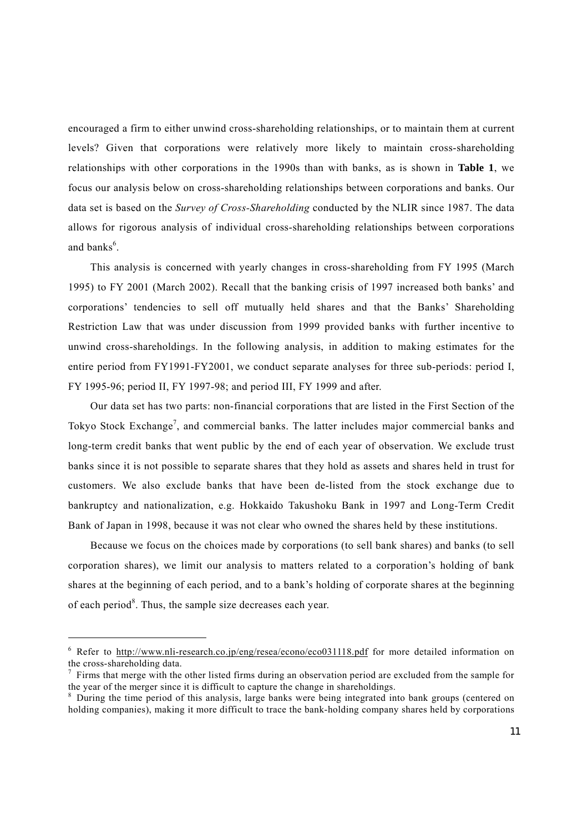encouraged a firm to either unwind cross-shareholding relationships, or to maintain them at current levels? Given that corporations were relatively more likely to maintain cross-shareholding relationships with other corporations in the 1990s than with banks, as is shown in **Table 1**, we focus our analysis below on cross-shareholding relationships between corporations and banks. Our data set is based on the *Survey of Cross-Shareholding* conducted by the NLIR since 1987. The data allows for rigorous analysis of individual cross-shareholding relationships between corporations and banks $^6$ .

This analysis is concerned with yearly changes in cross-shareholding from FY 1995 (March 1995) to FY 2001 (March 2002). Recall that the banking crisis of 1997 increased both banks' and corporations' tendencies to sell off mutually held shares and that the Banks' Shareholding Restriction Law that was under discussion from 1999 provided banks with further incentive to unwind cross-shareholdings. In the following analysis, in addition to making estimates for the entire period from FY1991-FY2001, we conduct separate analyses for three sub-periods: period I, FY 1995-96; period II, FY 1997-98; and period III, FY 1999 and after.

Our data set has two parts: non-financial corporations that are listed in the First Section of the Tokyo Stock Exchange<sup>7</sup>, and commercial banks. The latter includes major commercial banks and long-term credit banks that went public by the end of each year of observation. We exclude trust banks since it is not possible to separate shares that they hold as assets and shares held in trust for customers. We also exclude banks that have been de-listed from the stock exchange due to bankruptcy and nationalization, e.g. Hokkaido Takushoku Bank in 1997 and Long-Term Credit Bank of Japan in 1998, because it was not clear who owned the shares held by these institutions.

Because we focus on the choices made by corporations (to sell bank shares) and banks (to sell corporation shares), we limit our analysis to matters related to a corporation's holding of bank shares at the beginning of each period, and to a bank's holding of corporate shares at the beginning of each period<sup>8</sup>. Thus, the sample size decreases each year.

l

<sup>&</sup>lt;sup>6</sup> Refer to http://www.nli-research.co.jp/eng/resea/econo/eco031118.pdf for more detailed information on the cross-shareholding data.

 $<sup>7</sup>$  Firms that merge with the other listed firms during an observation period are excluded from the sample for</sup> the year of the merger since it is difficult to capture the change in shareholdings.

<sup>&</sup>lt;sup>8</sup> During the time period of this analysis, large banks were being integrated into bank groups (centered on holding companies), making it more difficult to trace the bank-holding company shares held by corporations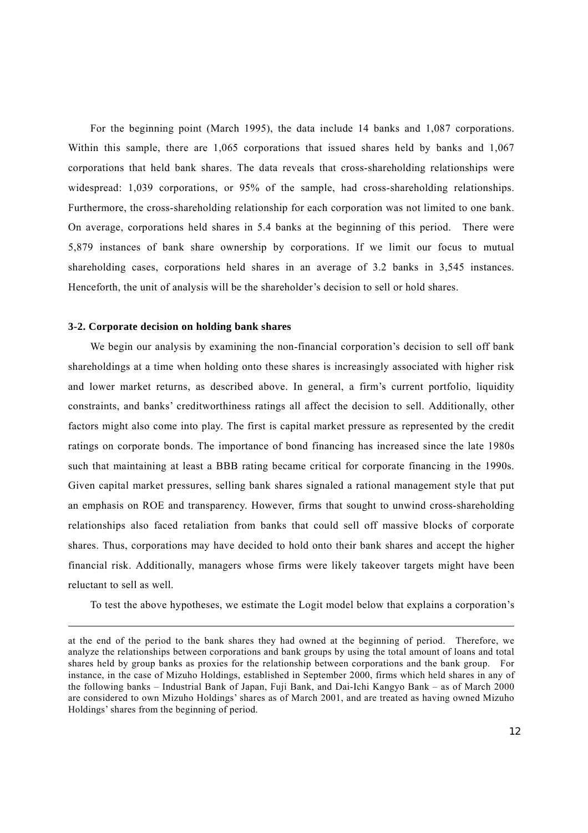For the beginning point (March 1995), the data include 14 banks and 1,087 corporations. Within this sample, there are 1,065 corporations that issued shares held by banks and 1,067 corporations that held bank shares. The data reveals that cross-shareholding relationships were widespread: 1,039 corporations, or 95% of the sample, had cross-shareholding relationships. Furthermore, the cross-shareholding relationship for each corporation was not limited to one bank. On average, corporations held shares in 5.4 banks at the beginning of this period. There were 5,879 instances of bank share ownership by corporations. If we limit our focus to mutual shareholding cases, corporations held shares in an average of 3.2 banks in 3,545 instances. Henceforth, the unit of analysis will be the shareholder's decision to sell or hold shares.

# **3-2. Corporate decision on holding bank shares**

l

We begin our analysis by examining the non-financial corporation's decision to sell off bank shareholdings at a time when holding onto these shares is increasingly associated with higher risk and lower market returns, as described above. In general, a firm's current portfolio, liquidity constraints, and banks' creditworthiness ratings all affect the decision to sell. Additionally, other factors might also come into play. The first is capital market pressure as represented by the credit ratings on corporate bonds. The importance of bond financing has increased since the late 1980s such that maintaining at least a BBB rating became critical for corporate financing in the 1990s. Given capital market pressures, selling bank shares signaled a rational management style that put an emphasis on ROE and transparency. However, firms that sought to unwind cross-shareholding relationships also faced retaliation from banks that could sell off massive blocks of corporate shares. Thus, corporations may have decided to hold onto their bank shares and accept the higher financial risk. Additionally, managers whose firms were likely takeover targets might have been reluctant to sell as well.

To test the above hypotheses, we estimate the Logit model below that explains a corporation's

at the end of the period to the bank shares they had owned at the beginning of period. Therefore, we analyze the relationships between corporations and bank groups by using the total amount of loans and total shares held by group banks as proxies for the relationship between corporations and the bank group. For instance, in the case of Mizuho Holdings, established in September 2000, firms which held shares in any of the following banks – Industrial Bank of Japan, Fuji Bank, and Dai-Ichi Kangyo Bank – as of March 2000 are considered to own Mizuho Holdings' shares as of March 2001, and are treated as having owned Mizuho Holdings' shares from the beginning of period.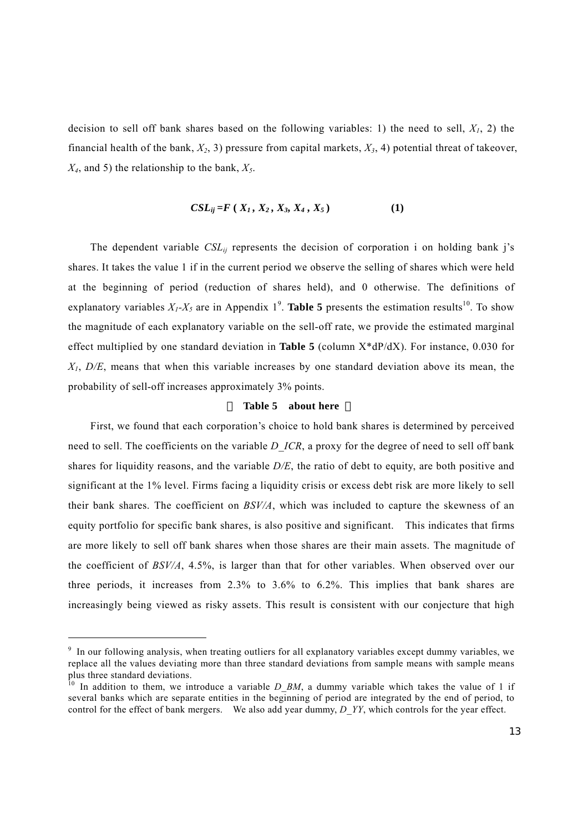decision to sell off bank shares based on the following variables: 1) the need to sell,  $X_1$ , 2) the financial health of the bank,  $X_2$ , 3) pressure from capital markets,  $X_3$ , 4) potential threat of takeover,  $X_4$ , and 5) the relationship to the bank,  $X_5$ .

$$
CSL_{ij} = F(X_1, X_2, X_3, X_4, X_5) \tag{1}
$$

The dependent variable  $CSL_{ij}$  represents the decision of corporation i on holding bank j's shares. It takes the value 1 if in the current period we observe the selling of shares which were held at the beginning of period (reduction of shares held), and 0 otherwise. The definitions of explanatory variables  $X_1 - X_5$  are in Appendix 1<sup>9</sup>. Table 5 presents the estimation results<sup>10</sup>. To show the magnitude of each explanatory variable on the sell-off rate, we provide the estimated marginal effect multiplied by one standard deviation in **Table 5** (column X\*dP/dX). For instance, 0.030 for *X1*, *D/E*, means that when this variable increases by one standard deviation above its mean, the probability of sell-off increases approximately 3% points.

# **Table 5 about here**

First, we found that each corporation's choice to hold bank shares is determined by perceived need to sell. The coefficients on the variable *D\_ICR*, a proxy for the degree of need to sell off bank shares for liquidity reasons, and the variable *D/E*, the ratio of debt to equity, are both positive and significant at the 1% level. Firms facing a liquidity crisis or excess debt risk are more likely to sell their bank shares. The coefficient on *BSV/A*, which was included to capture the skewness of an equity portfolio for specific bank shares, is also positive and significant. This indicates that firms are more likely to sell off bank shares when those shares are their main assets. The magnitude of the coefficient of *BSV/A*, 4.5%, is larger than that for other variables. When observed over our three periods, it increases from 2.3% to 3.6% to 6.2%. This implies that bank shares are increasingly being viewed as risky assets. This result is consistent with our conjecture that high

l

<sup>&</sup>lt;sup>9</sup> In our following analysis, when treating outliers for all explanatory variables except dummy variables, we replace all the values deviating more than three standard deviations from sample means with sample means plus three standard deviations.

 $10$  In addition to them, we introduce a variable *D\_BM*, a dummy variable which takes the value of 1 if several banks which are separate entities in the beginning of period are integrated by the end of period, to control for the effect of bank mergers. We also add year dummy, *D\_YY*, which controls for the year effect.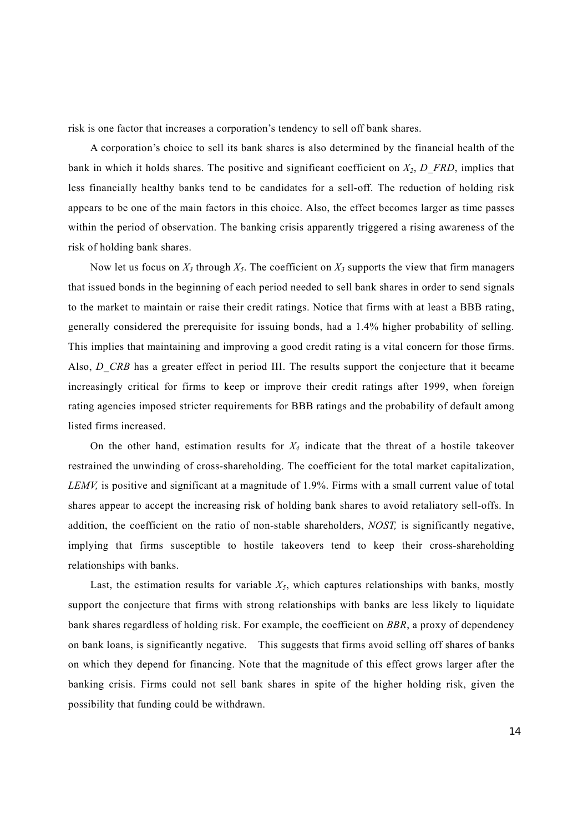risk is one factor that increases a corporation's tendency to sell off bank shares.

A corporation's choice to sell its bank shares is also determined by the financial health of the bank in which it holds shares. The positive and significant coefficient on  $X_2$ , *D\_FRD*, implies that less financially healthy banks tend to be candidates for a sell-off. The reduction of holding risk appears to be one of the main factors in this choice. Also, the effect becomes larger as time passes within the period of observation. The banking crisis apparently triggered a rising awareness of the risk of holding bank shares.

Now let us focus on  $X_3$  through  $X_5$ . The coefficient on  $X_3$  supports the view that firm managers that issued bonds in the beginning of each period needed to sell bank shares in order to send signals to the market to maintain or raise their credit ratings. Notice that firms with at least a BBB rating, generally considered the prerequisite for issuing bonds, had a 1.4% higher probability of selling. This implies that maintaining and improving a good credit rating is a vital concern for those firms. Also, *D\_CRB* has a greater effect in period III. The results support the conjecture that it became increasingly critical for firms to keep or improve their credit ratings after 1999, when foreign rating agencies imposed stricter requirements for BBB ratings and the probability of default among listed firms increased.

On the other hand, estimation results for  $X_4$  indicate that the threat of a hostile takeover restrained the unwinding of cross-shareholding. The coefficient for the total market capitalization, *LEMV,* is positive and significant at a magnitude of 1.9%. Firms with a small current value of total shares appear to accept the increasing risk of holding bank shares to avoid retaliatory sell-offs. In addition, the coefficient on the ratio of non-stable shareholders, *NOST,* is significantly negative, implying that firms susceptible to hostile takeovers tend to keep their cross-shareholding relationships with banks.

Last, the estimation results for variable  $X_5$ , which captures relationships with banks, mostly support the conjecture that firms with strong relationships with banks are less likely to liquidate bank shares regardless of holding risk. For example, the coefficient on *BBR*, a proxy of dependency on bank loans, is significantly negative. This suggests that firms avoid selling off shares of banks on which they depend for financing. Note that the magnitude of this effect grows larger after the banking crisis. Firms could not sell bank shares in spite of the higher holding risk, given the possibility that funding could be withdrawn.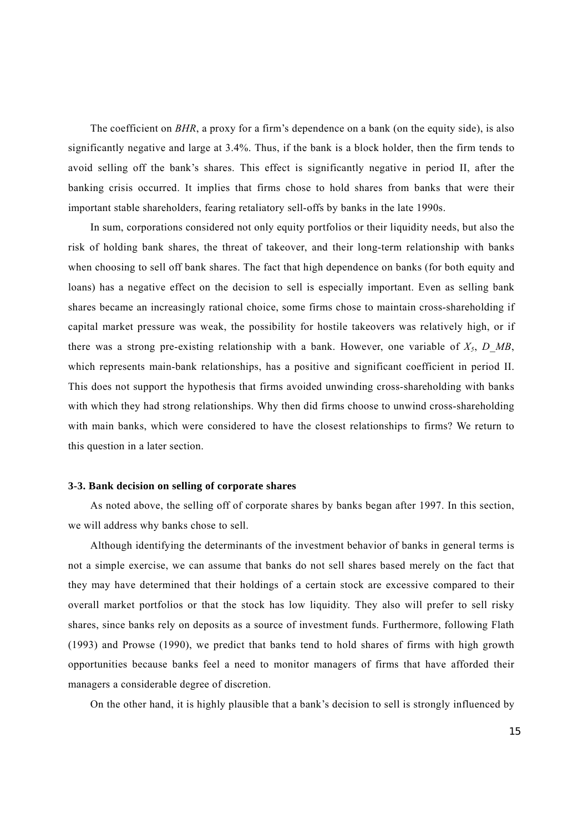The coefficient on *BHR*, a proxy for a firm's dependence on a bank (on the equity side), is also significantly negative and large at 3.4%. Thus, if the bank is a block holder, then the firm tends to avoid selling off the bank's shares. This effect is significantly negative in period II, after the banking crisis occurred. It implies that firms chose to hold shares from banks that were their important stable shareholders, fearing retaliatory sell-offs by banks in the late 1990s.

In sum, corporations considered not only equity portfolios or their liquidity needs, but also the risk of holding bank shares, the threat of takeover, and their long-term relationship with banks when choosing to sell off bank shares. The fact that high dependence on banks (for both equity and loans) has a negative effect on the decision to sell is especially important. Even as selling bank shares became an increasingly rational choice, some firms chose to maintain cross-shareholding if capital market pressure was weak, the possibility for hostile takeovers was relatively high, or if there was a strong pre-existing relationship with a bank. However, one variable of  $X_5$ , *D\_MB*, which represents main-bank relationships, has a positive and significant coefficient in period II. This does not support the hypothesis that firms avoided unwinding cross-shareholding with banks with which they had strong relationships. Why then did firms choose to unwind cross-shareholding with main banks, which were considered to have the closest relationships to firms? We return to this question in a later section.

#### **3-3. Bank decision on selling of corporate shares**

As noted above, the selling off of corporate shares by banks began after 1997. In this section, we will address why banks chose to sell.

Although identifying the determinants of the investment behavior of banks in general terms is not a simple exercise, we can assume that banks do not sell shares based merely on the fact that they may have determined that their holdings of a certain stock are excessive compared to their overall market portfolios or that the stock has low liquidity. They also will prefer to sell risky shares, since banks rely on deposits as a source of investment funds. Furthermore, following Flath (1993) and Prowse (1990), we predict that banks tend to hold shares of firms with high growth opportunities because banks feel a need to monitor managers of firms that have afforded their managers a considerable degree of discretion.

On the other hand, it is highly plausible that a bank's decision to sell is strongly influenced by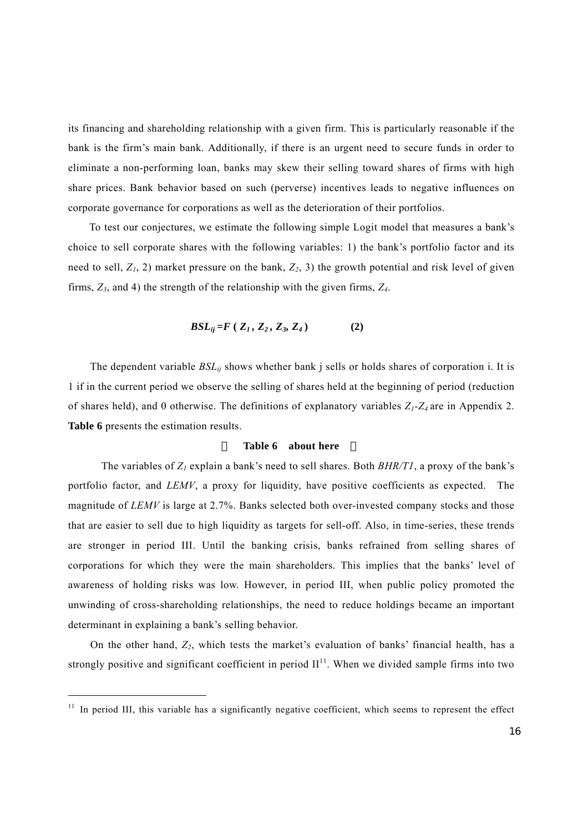its financing and shareholding relationship with a given firm. This is particularly reasonable if the bank is the firm's main bank. Additionally, if there is an urgent need to secure funds in order to eliminate a non-performing loan, banks may skew their selling toward shares of firms with high share prices. Bank behavior based on such (perverse) incentives leads to negative influences on corporate governance for corporations as well as the deterioration of their portfolios.

To test our conjectures, we estimate the following simple Logit model that measures a bank's choice to sell corporate shares with the following variables: 1) the bank's portfolio factor and its need to sell,  $Z_1$ , 2) market pressure on the bank,  $Z_2$ , 3) the growth potential and risk level of given firms, *Z3*, and 4) the strength of the relationship with the given firms, *Z4*.

$$
BSL_{ij} = F(Z_1, Z_2, Z_3, Z_4) \tag{2}
$$

The dependent variable *BSLij* shows whether bank j sells or holds shares of corporation i. It is 1 if in the current period we observe the selling of shares held at the beginning of period (reduction of shares held), and 0 otherwise. The definitions of explanatory variables  $Z_1$ - $Z_4$  are in Appendix 2. **Table 6** presents the estimation results.

### **Table 6 about here**

The variables of  $Z_l$  explain a bank's need to sell shares. Both  $BHR/T1$ , a proxy of the bank's portfolio factor, and *LEMV*, a proxy for liquidity, have positive coefficients as expected. The magnitude of *LEMV* is large at 2.7%. Banks selected both over-invested company stocks and those that are easier to sell due to high liquidity as targets for sell-off. Also, in time-series, these trends are stronger in period III. Until the banking crisis, banks refrained from selling shares of corporations for which they were the main shareholders. This implies that the banks' level of awareness of holding risks was low. However, in period III, when public policy promoted the unwinding of cross-shareholding relationships, the need to reduce holdings became an important determinant in explaining a bank's selling behavior.

On the other hand,  $Z_2$ , which tests the market's evaluation of banks' financial health, has a strongly positive and significant coefficient in period  $II<sup>11</sup>$ . When we divided sample firms into two

 $\overline{a}$ 

<sup>&</sup>lt;sup>11</sup> In period III, this variable has a significantly negative coefficient, which seems to represent the effect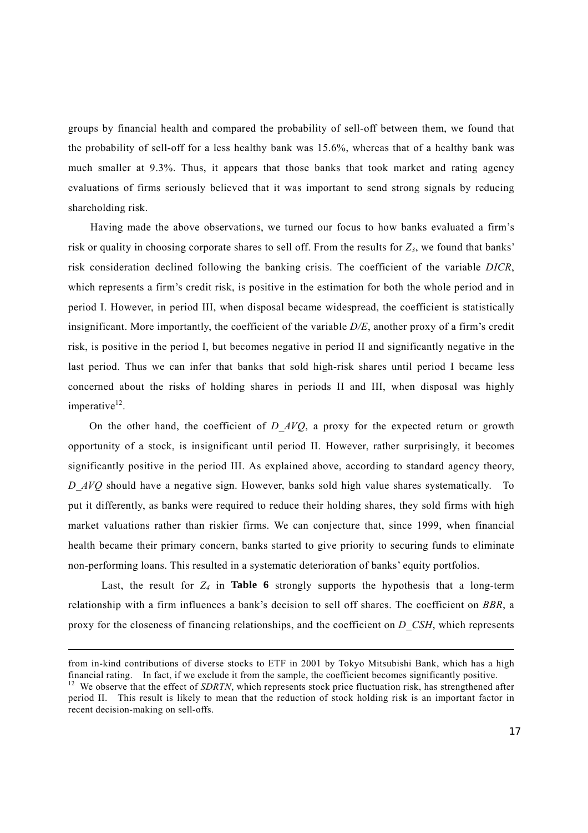groups by financial health and compared the probability of sell-off between them, we found that the probability of sell-off for a less healthy bank was 15.6%, whereas that of a healthy bank was much smaller at 9.3%. Thus, it appears that those banks that took market and rating agency evaluations of firms seriously believed that it was important to send strong signals by reducing shareholding risk.

Having made the above observations, we turned our focus to how banks evaluated a firm's risk or quality in choosing corporate shares to sell off. From the results for  $Z_3$ , we found that banks' risk consideration declined following the banking crisis. The coefficient of the variable *DICR*, which represents a firm's credit risk, is positive in the estimation for both the whole period and in period I. However, in period III, when disposal became widespread, the coefficient is statistically insignificant. More importantly, the coefficient of the variable *D/E*, another proxy of a firm's credit risk, is positive in the period I, but becomes negative in period II and significantly negative in the last period. Thus we can infer that banks that sold high-risk shares until period I became less concerned about the risks of holding shares in periods II and III, when disposal was highly imperative $12$ .

On the other hand, the coefficient of *D\_AVQ*, a proxy for the expected return or growth opportunity of a stock, is insignificant until period II. However, rather surprisingly, it becomes significantly positive in the period III. As explained above, according to standard agency theory, *D\_AVQ* should have a negative sign. However, banks sold high value shares systematically. To put it differently, as banks were required to reduce their holding shares, they sold firms with high market valuations rather than riskier firms. We can conjecture that, since 1999, when financial health became their primary concern, banks started to give priority to securing funds to eliminate non-performing loans. This resulted in a systematic deterioration of banks' equity portfolios.

Last, the result for  $Z_4$  in **Table 6** strongly supports the hypothesis that a long-term relationship with a firm influences a bank's decision to sell off shares. The coefficient on *BBR*, a proxy for the closeness of financing relationships, and the coefficient on *D\_CSH*, which represents

l

from in-kind contributions of diverse stocks to ETF in 2001 by Tokyo Mitsubishi Bank, which has a high financial rating. In fact, if we exclude it from the sample, the coefficient becomes significantly positive.

<sup>&</sup>lt;sup>12</sup> We observe that the effect of *SDRTN*, which represents stock price fluctuation risk, has strengthened after period II. This result is likely to mean that the reduction of stock holding risk is an important factor in recent decision-making on sell-offs.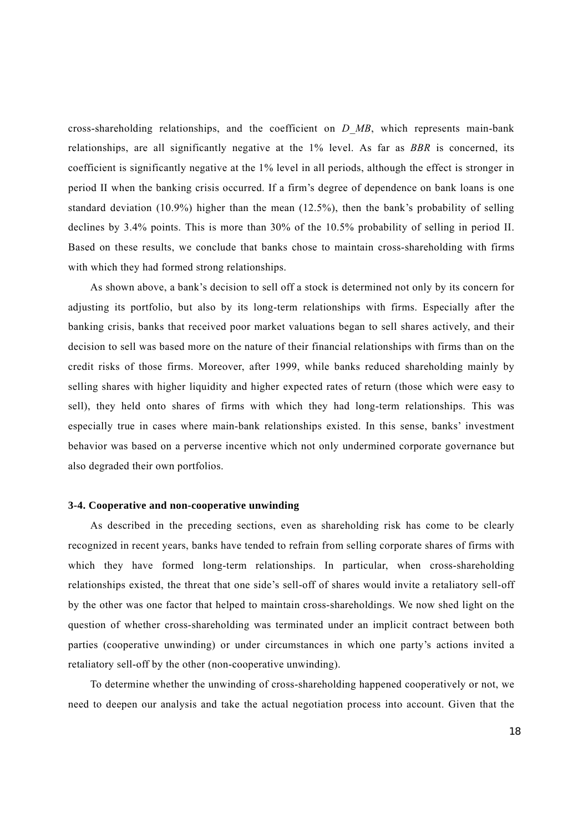cross-shareholding relationships, and the coefficient on *D\_MB*, which represents main-bank relationships, are all significantly negative at the 1% level. As far as *BBR* is concerned, its coefficient is significantly negative at the 1% level in all periods, although the effect is stronger in period II when the banking crisis occurred. If a firm's degree of dependence on bank loans is one standard deviation (10.9%) higher than the mean (12.5%), then the bank's probability of selling declines by 3.4% points. This is more than 30% of the 10.5% probability of selling in period II. Based on these results, we conclude that banks chose to maintain cross-shareholding with firms with which they had formed strong relationships.

As shown above, a bank's decision to sell off a stock is determined not only by its concern for adjusting its portfolio, but also by its long-term relationships with firms. Especially after the banking crisis, banks that received poor market valuations began to sell shares actively, and their decision to sell was based more on the nature of their financial relationships with firms than on the credit risks of those firms. Moreover, after 1999, while banks reduced shareholding mainly by selling shares with higher liquidity and higher expected rates of return (those which were easy to sell), they held onto shares of firms with which they had long-term relationships. This was especially true in cases where main-bank relationships existed. In this sense, banks' investment behavior was based on a perverse incentive which not only undermined corporate governance but also degraded their own portfolios.

#### **3-4. Cooperative and non-cooperative unwinding**

As described in the preceding sections, even as shareholding risk has come to be clearly recognized in recent years, banks have tended to refrain from selling corporate shares of firms with which they have formed long-term relationships. In particular, when cross-shareholding relationships existed, the threat that one side's sell-off of shares would invite a retaliatory sell-off by the other was one factor that helped to maintain cross-shareholdings. We now shed light on the question of whether cross-shareholding was terminated under an implicit contract between both parties (cooperative unwinding) or under circumstances in which one party's actions invited a retaliatory sell-off by the other (non-cooperative unwinding).

To determine whether the unwinding of cross-shareholding happened cooperatively or not, we need to deepen our analysis and take the actual negotiation process into account. Given that the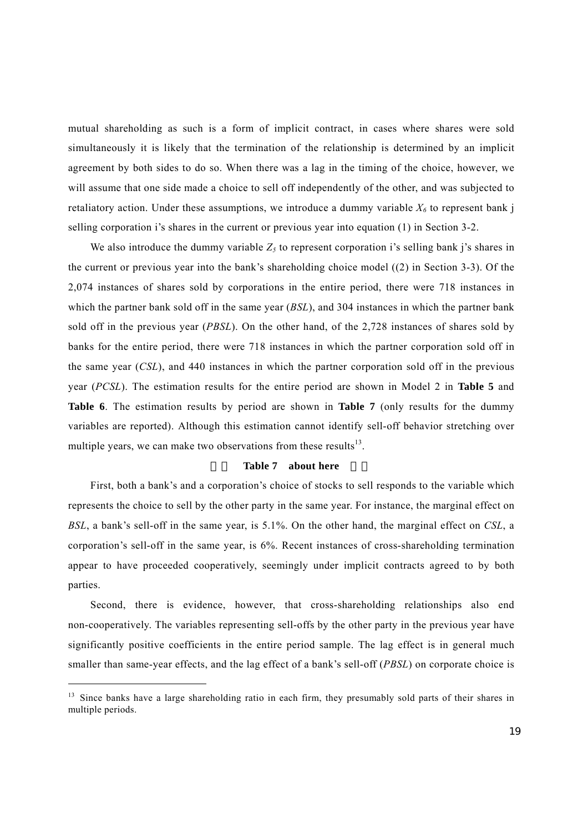mutual shareholding as such is a form of implicit contract, in cases where shares were sold simultaneously it is likely that the termination of the relationship is determined by an implicit agreement by both sides to do so. When there was a lag in the timing of the choice, however, we will assume that one side made a choice to sell off independently of the other, and was subjected to retaliatory action. Under these assumptions, we introduce a dummy variable  $X_6$  to represent bank j selling corporation i's shares in the current or previous year into equation (1) in Section 3-2.

We also introduce the dummy variable  $Z_5$  to represent corporation i's selling bank j's shares in the current or previous year into the bank's shareholding choice model ((2) in Section 3-3). Of the 2,074 instances of shares sold by corporations in the entire period, there were 718 instances in which the partner bank sold off in the same year (*BSL*), and 304 instances in which the partner bank sold off in the previous year (*PBSL*). On the other hand, of the 2,728 instances of shares sold by banks for the entire period, there were 718 instances in which the partner corporation sold off in the same year (*CSL*), and 440 instances in which the partner corporation sold off in the previous year (*PCSL*). The estimation results for the entire period are shown in Model 2 in **Table 5** and **Table 6**. The estimation results by period are shown in **Table 7** (only results for the dummy variables are reported). Although this estimation cannot identify sell-off behavior stretching over multiple years, we can make two observations from these results $^{13}$ .

#### Table 7 about here

First, both a bank's and a corporation's choice of stocks to sell responds to the variable which represents the choice to sell by the other party in the same year. For instance, the marginal effect on *BSL*, a bank's sell-off in the same year, is 5.1%. On the other hand, the marginal effect on *CSL*, a corporation's sell-off in the same year, is 6%. Recent instances of cross-shareholding termination appear to have proceeded cooperatively, seemingly under implicit contracts agreed to by both parties.

Second, there is evidence, however, that cross-shareholding relationships also end non-cooperatively. The variables representing sell-offs by the other party in the previous year have significantly positive coefficients in the entire period sample. The lag effect is in general much smaller than same-year effects, and the lag effect of a bank's sell-off (*PBSL*) on corporate choice is

l

<sup>&</sup>lt;sup>13</sup> Since banks have a large shareholding ratio in each firm, they presumably sold parts of their shares in multiple periods.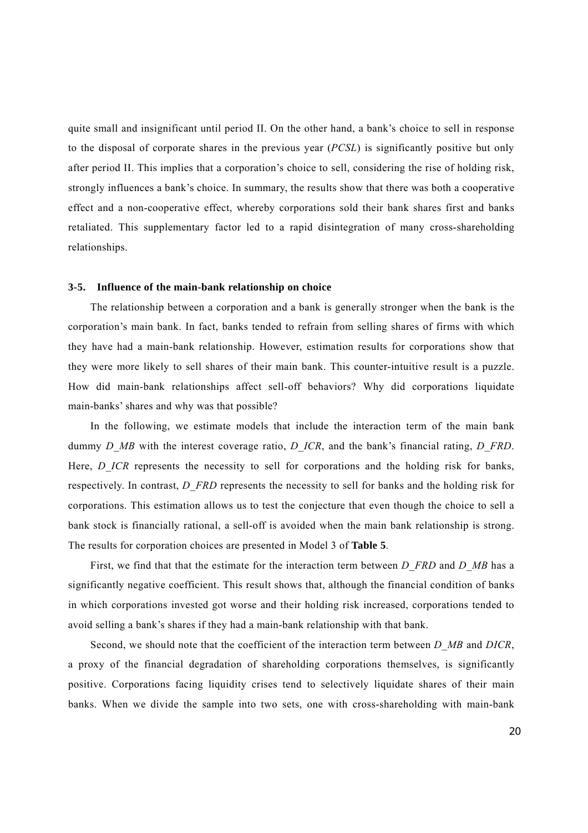quite small and insignificant until period II. On the other hand, a bank's choice to sell in response to the disposal of corporate shares in the previous year (*PCSL*) is significantly positive but only after period II. This implies that a corporation's choice to sell, considering the rise of holding risk, strongly influences a bank's choice. In summary, the results show that there was both a cooperative effect and a non-cooperative effect, whereby corporations sold their bank shares first and banks retaliated. This supplementary factor led to a rapid disintegration of many cross-shareholding relationships.

#### **3-5. Influence of the main-bank relationship on choice**

The relationship between a corporation and a bank is generally stronger when the bank is the corporation's main bank. In fact, banks tended to refrain from selling shares of firms with which they have had a main-bank relationship. However, estimation results for corporations show that they were more likely to sell shares of their main bank. This counter-intuitive result is a puzzle. How did main-bank relationships affect sell-off behaviors? Why did corporations liquidate main-banks' shares and why was that possible?

In the following, we estimate models that include the interaction term of the main bank dummy *D\_MB* with the interest coverage ratio, *D\_ICR*, and the bank's financial rating, *D\_FRD*. Here, *D\_ICR* represents the necessity to sell for corporations and the holding risk for banks, respectively. In contrast, *D\_FRD* represents the necessity to sell for banks and the holding risk for corporations. This estimation allows us to test the conjecture that even though the choice to sell a bank stock is financially rational, a sell-off is avoided when the main bank relationship is strong. The results for corporation choices are presented in Model 3 of **Table 5**.

First, we find that that the estimate for the interaction term between *D\_FRD* and *D\_MB* has a significantly negative coefficient. This result shows that, although the financial condition of banks in which corporations invested got worse and their holding risk increased, corporations tended to avoid selling a bank's shares if they had a main-bank relationship with that bank.

Second, we should note that the coefficient of the interaction term between *D\_MB* and *DICR*, a proxy of the financial degradation of shareholding corporations themselves, is significantly positive. Corporations facing liquidity crises tend to selectively liquidate shares of their main banks. When we divide the sample into two sets, one with cross-shareholding with main-bank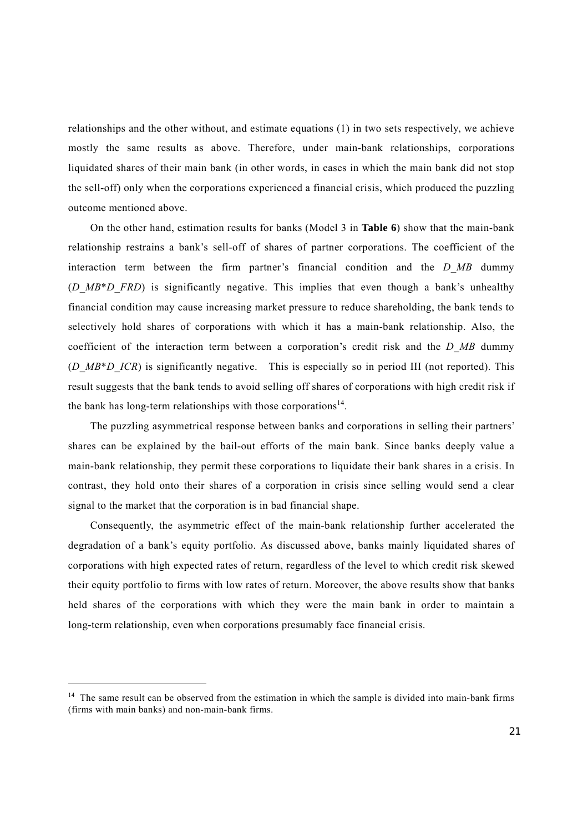relationships and the other without, and estimate equations (1) in two sets respectively, we achieve mostly the same results as above. Therefore, under main-bank relationships, corporations liquidated shares of their main bank (in other words, in cases in which the main bank did not stop the sell-off) only when the corporations experienced a financial crisis, which produced the puzzling outcome mentioned above.

On the other hand, estimation results for banks (Model 3 in **Table 6**) show that the main-bank relationship restrains a bank's sell-off of shares of partner corporations. The coefficient of the interaction term between the firm partner's financial condition and the *D\_MB* dummy (*D\_MB*\**D\_FRD*) is significantly negative. This implies that even though a bank's unhealthy financial condition may cause increasing market pressure to reduce shareholding, the bank tends to selectively hold shares of corporations with which it has a main-bank relationship. Also, the coefficient of the interaction term between a corporation's credit risk and the *D\_MB* dummy (*D\_MB*\**D\_ICR*) is significantly negative. This is especially so in period III (not reported). This result suggests that the bank tends to avoid selling off shares of corporations with high credit risk if the bank has long-term relationships with those corporations<sup>14</sup>.

The puzzling asymmetrical response between banks and corporations in selling their partners' shares can be explained by the bail-out efforts of the main bank. Since banks deeply value a main-bank relationship, they permit these corporations to liquidate their bank shares in a crisis. In contrast, they hold onto their shares of a corporation in crisis since selling would send a clear signal to the market that the corporation is in bad financial shape.

Consequently, the asymmetric effect of the main-bank relationship further accelerated the degradation of a bank's equity portfolio. As discussed above, banks mainly liquidated shares of corporations with high expected rates of return, regardless of the level to which credit risk skewed their equity portfolio to firms with low rates of return. Moreover, the above results show that banks held shares of the corporations with which they were the main bank in order to maintain a long-term relationship, even when corporations presumably face financial crisis.

l

 $14$  The same result can be observed from the estimation in which the sample is divided into main-bank firms (firms with main banks) and non-main-bank firms.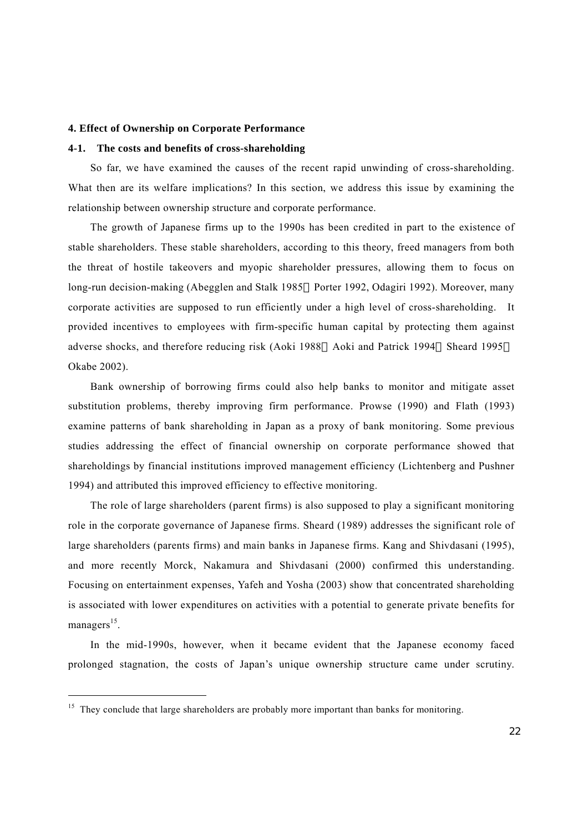#### **4. Effect of Ownership on Corporate Performance**

#### **4-1. The costs and benefits of cross-shareholding**

So far, we have examined the causes of the recent rapid unwinding of cross-shareholding. What then are its welfare implications? In this section, we address this issue by examining the relationship between ownership structure and corporate performance.

The growth of Japanese firms up to the 1990s has been credited in part to the existence of stable shareholders. These stable shareholders, according to this theory, freed managers from both the threat of hostile takeovers and myopic shareholder pressures, allowing them to focus on long-run decision-making (Abegglen and Stalk 1985 Porter 1992, Odagiri 1992). Moreover, many corporate activities are supposed to run efficiently under a high level of cross-shareholding. It provided incentives to employees with firm-specific human capital by protecting them against adverse shocks, and therefore reducing risk (Aoki 1988 Aoki and Patrick 1994 Sheard 1995 Okabe 2002).

Bank ownership of borrowing firms could also help banks to monitor and mitigate asset substitution problems, thereby improving firm performance. Prowse (1990) and Flath (1993) examine patterns of bank shareholding in Japan as a proxy of bank monitoring. Some previous studies addressing the effect of financial ownership on corporate performance showed that shareholdings by financial institutions improved management efficiency (Lichtenberg and Pushner 1994) and attributed this improved efficiency to effective monitoring.

The role of large shareholders (parent firms) is also supposed to play a significant monitoring role in the corporate governance of Japanese firms. Sheard (1989) addresses the significant role of large shareholders (parents firms) and main banks in Japanese firms. Kang and Shivdasani (1995), and more recently Morck, Nakamura and Shivdasani (2000) confirmed this understanding. Focusing on entertainment expenses, Yafeh and Yosha (2003) show that concentrated shareholding is associated with lower expenditures on activities with a potential to generate private benefits for managers $^{15}$ .

In the mid-1990s, however, when it became evident that the Japanese economy faced prolonged stagnation, the costs of Japan's unique ownership structure came under scrutiny.

 $\overline{a}$ 

<sup>&</sup>lt;sup>15</sup> They conclude that large shareholders are probably more important than banks for monitoring.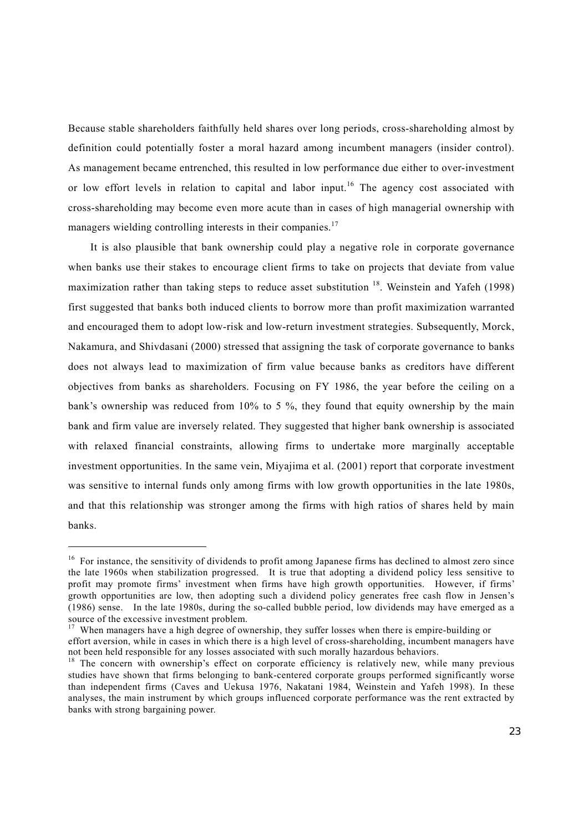Because stable shareholders faithfully held shares over long periods, cross-shareholding almost by definition could potentially foster a moral hazard among incumbent managers (insider control). As management became entrenched, this resulted in low performance due either to over-investment or low effort levels in relation to capital and labor input.<sup>16</sup> The agency cost associated with cross-shareholding may become even more acute than in cases of high managerial ownership with managers wielding controlling interests in their companies.<sup>17</sup>

It is also plausible that bank ownership could play a negative role in corporate governance when banks use their stakes to encourage client firms to take on projects that deviate from value maximization rather than taking steps to reduce asset substitution <sup>18</sup>. Weinstein and Yafeh (1998) first suggested that banks both induced clients to borrow more than profit maximization warranted and encouraged them to adopt low-risk and low-return investment strategies. Subsequently, Morck, Nakamura, and Shivdasani (2000) stressed that assigning the task of corporate governance to banks does not always lead to maximization of firm value because banks as creditors have different objectives from banks as shareholders. Focusing on FY 1986, the year before the ceiling on a bank's ownership was reduced from 10% to 5 %, they found that equity ownership by the main bank and firm value are inversely related. They suggested that higher bank ownership is associated with relaxed financial constraints, allowing firms to undertake more marginally acceptable investment opportunities. In the same vein, Miyajima et al. (2001) report that corporate investment was sensitive to internal funds only among firms with low growth opportunities in the late 1980s, and that this relationship was stronger among the firms with high ratios of shares held by main banks.

 $\overline{a}$ 

<sup>&</sup>lt;sup>16</sup> For instance, the sensitivity of dividends to profit among Japanese firms has declined to almost zero since the late 1960s when stabilization progressed. It is true that adopting a dividend policy less sensitive to profit may promote firms' investment when firms have high growth opportunities. However, if firms' growth opportunities are low, then adopting such a dividend policy generates free cash flow in Jensen's (1986) sense. In the late 1980s, during the so-called bubble period, low dividends may have emerged as a source of the excessive investment problem.

 $17$  When managers have a high degree of ownership, they suffer losses when there is empire-building or

effort aversion, while in cases in which there is a high level of cross-shareholding, incumbent managers have not been held responsible for any losses associated with such morally hazardous behaviors.

<sup>&</sup>lt;sup>18</sup> The concern with ownership's effect on corporate efficiency is relatively new, while many previous studies have shown that firms belonging to bank-centered corporate groups performed significantly worse than independent firms (Caves and Uekusa 1976, Nakatani 1984, Weinstein and Yafeh 1998). In these analyses, the main instrument by which groups influenced corporate performance was the rent extracted by banks with strong bargaining power.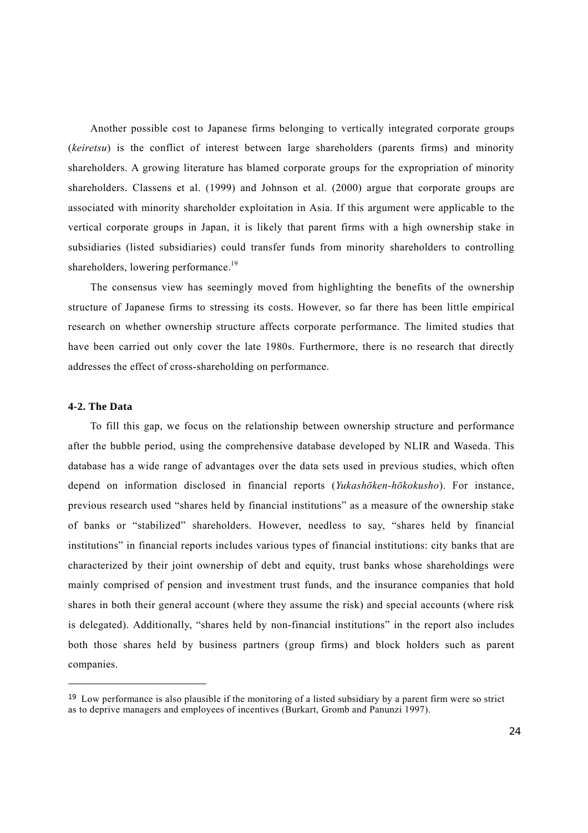Another possible cost to Japanese firms belonging to vertically integrated corporate groups (*keiretsu*) is the conflict of interest between large shareholders (parents firms) and minority shareholders. A growing literature has blamed corporate groups for the expropriation of minority shareholders. Classens et al. (1999) and Johnson et al. (2000) argue that corporate groups are associated with minority shareholder exploitation in Asia. If this argument were applicable to the vertical corporate groups in Japan, it is likely that parent firms with a high ownership stake in subsidiaries (listed subsidiaries) could transfer funds from minority shareholders to controlling shareholders, lowering performance.<sup>19</sup>

The consensus view has seemingly moved from highlighting the benefits of the ownership structure of Japanese firms to stressing its costs. However, so far there has been little empirical research on whether ownership structure affects corporate performance. The limited studies that have been carried out only cover the late 1980s. Furthermore, there is no research that directly addresses the effect of cross-shareholding on performance.

# **4-2. The Data**

l

To fill this gap, we focus on the relationship between ownership structure and performance after the bubble period, using the comprehensive database developed by NLIR and Waseda. This database has a wide range of advantages over the data sets used in previous studies, which often depend on information disclosed in financial reports (*Yukashōken-hōkokusho*). For instance, previous research used "shares held by financial institutions" as a measure of the ownership stake of banks or "stabilized" shareholders. However, needless to say, "shares held by financial institutions" in financial reports includes various types of financial institutions: city banks that are characterized by their joint ownership of debt and equity, trust banks whose shareholdings were mainly comprised of pension and investment trust funds, and the insurance companies that hold shares in both their general account (where they assume the risk) and special accounts (where risk is delegated). Additionally, "shares held by non-financial institutions" in the report also includes both those shares held by business partners (group firms) and block holders such as parent companies.

<sup>19</sup> Low performance is also plausible if the monitoring of a listed subsidiary by a parent firm were so strict as to deprive managers and employees of incentives (Burkart, Gromb and Panunzi 1997).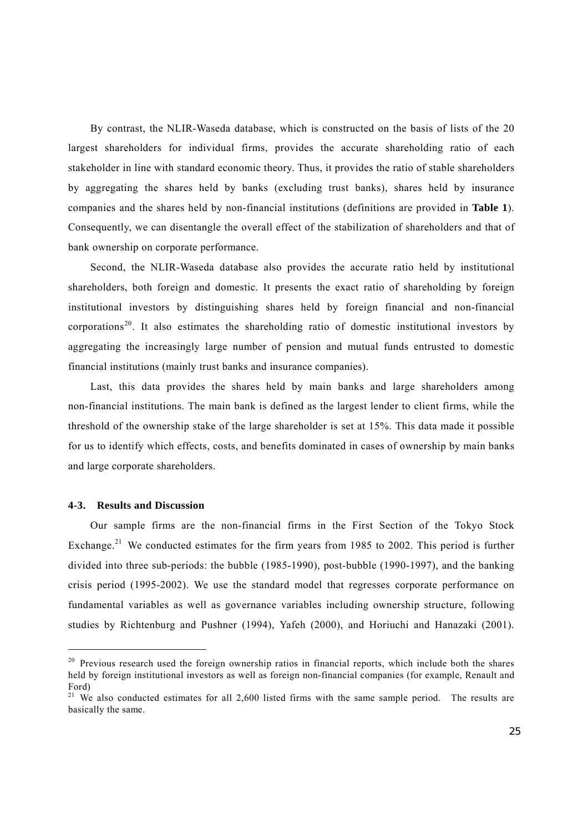By contrast, the NLIR-Waseda database, which is constructed on the basis of lists of the 20 largest shareholders for individual firms, provides the accurate shareholding ratio of each stakeholder in line with standard economic theory. Thus, it provides the ratio of stable shareholders by aggregating the shares held by banks (excluding trust banks), shares held by insurance companies and the shares held by non-financial institutions (definitions are provided in **Table 1**). Consequently, we can disentangle the overall effect of the stabilization of shareholders and that of bank ownership on corporate performance.

Second, the NLIR-Waseda database also provides the accurate ratio held by institutional shareholders, both foreign and domestic. It presents the exact ratio of shareholding by foreign institutional investors by distinguishing shares held by foreign financial and non-financial corporations<sup>20</sup>. It also estimates the shareholding ratio of domestic institutional investors by aggregating the increasingly large number of pension and mutual funds entrusted to domestic financial institutions (mainly trust banks and insurance companies).

Last, this data provides the shares held by main banks and large shareholders among non-financial institutions. The main bank is defined as the largest lender to client firms, while the threshold of the ownership stake of the large shareholder is set at 15%. This data made it possible for us to identify which effects, costs, and benefits dominated in cases of ownership by main banks and large corporate shareholders.

#### **4-3. Results and Discussion**

l

Our sample firms are the non-financial firms in the First Section of the Tokyo Stock Exchange.<sup>21</sup> We conducted estimates for the firm years from 1985 to 2002. This period is further divided into three sub-periods: the bubble (1985-1990), post-bubble (1990-1997), and the banking crisis period (1995-2002). We use the standard model that regresses corporate performance on fundamental variables as well as governance variables including ownership structure, following studies by Richtenburg and Pushner (1994), Yafeh (2000), and Horiuchi and Hanazaki (2001).

<sup>&</sup>lt;sup>20</sup> Previous research used the foreign ownership ratios in financial reports, which include both the shares held by foreign institutional investors as well as foreign non-financial companies (for example, Renault and Ford)

 $21$  We also conducted estimates for all 2,600 listed firms with the same sample period. The results are basically the same.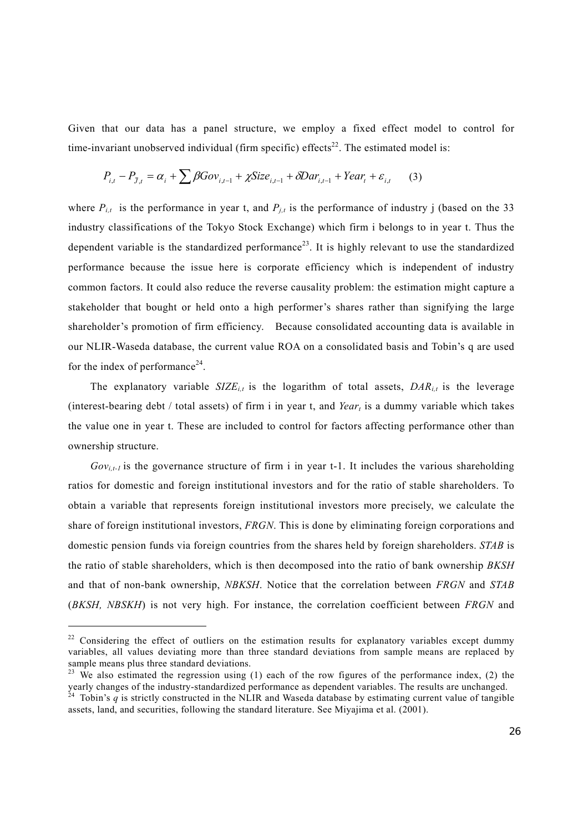Given that our data has a panel structure, we employ a fixed effect model to control for time-invariant unobserved individual (firm specific) effects<sup>22</sup>. The estimated model is:

$$
P_{i,t} - P_{\overline{J},t} = \alpha_i + \sum \beta Gov_{i,t-1} + \chi Size_{i,t-1} + \delta Dar_{i,t-1} + Year_t + \varepsilon_{i,t}
$$
 (3)

where  $P_{i,t}$  is the performance in year t, and  $P_{j,t}$  is the performance of industry j (based on the 33 industry classifications of the Tokyo Stock Exchange) which firm i belongs to in year t. Thus the dependent variable is the standardized performance<sup>23</sup>. It is highly relevant to use the standardized performance because the issue here is corporate efficiency which is independent of industry common factors. It could also reduce the reverse causality problem: the estimation might capture a stakeholder that bought or held onto a high performer's shares rather than signifying the large shareholder's promotion of firm efficiency. Because consolidated accounting data is available in our NLIR-Waseda database, the current value ROA on a consolidated basis and Tobin's q are used for the index of performance<sup>24</sup>.

The explanatory variable  $SIZE_{i,t}$  is the logarithm of total assets,  $DAR_{i,t}$  is the leverage (interest-bearing debt / total assets) of firm i in year t, and *Year<sub>t</sub>* is a dummy variable which takes the value one in year t. These are included to control for factors affecting performance other than ownership structure.

 $Gov_{i,t-1}$  is the governance structure of firm i in year t-1. It includes the various shareholding ratios for domestic and foreign institutional investors and for the ratio of stable shareholders. To obtain a variable that represents foreign institutional investors more precisely, we calculate the share of foreign institutional investors, *FRGN*. This is done by eliminating foreign corporations and domestic pension funds via foreign countries from the shares held by foreign shareholders. *STAB* is the ratio of stable shareholders, which is then decomposed into the ratio of bank ownership *BKSH* and that of non-bank ownership, *NBKSH*. Notice that the correlation between *FRGN* and *STAB* (*BKSH, NBSKH*) is not very high. For instance, the correlation coefficient between *FRGN* and

l

 $22$  Considering the effect of outliers on the estimation results for explanatory variables except dummy variables, all values deviating more than three standard deviations from sample means are replaced by sample means plus three standard deviations.

<sup>&</sup>lt;sup>23</sup> We also estimated the regression using (1) each of the row figures of the performance index, (2) the yearly changes of the industry-standardized performance as dependent variables. The results are unchanged.  $^{24}$  Tobin's  $q$  is strictly constructed in the NLIR and Waseda database by estimating current value of tangible

assets, land, and securities, following the standard literature. See Miyajima et al. (2001).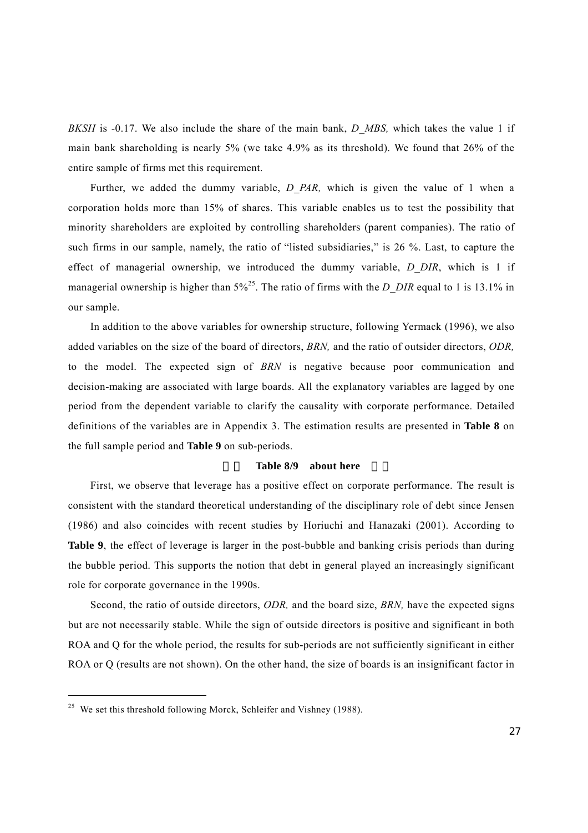*BKSH* is -0.17. We also include the share of the main bank, *D\_MBS,* which takes the value 1 if main bank shareholding is nearly 5% (we take 4.9% as its threshold). We found that 26% of the entire sample of firms met this requirement.

Further, we added the dummy variable, *D\_PAR,* which is given the value of 1 when a corporation holds more than 15% of shares. This variable enables us to test the possibility that minority shareholders are exploited by controlling shareholders (parent companies). The ratio of such firms in our sample, namely, the ratio of "listed subsidiaries," is 26 %. Last, to capture the effect of managerial ownership, we introduced the dummy variable, *D\_DIR*, which is 1 if managerial ownership is higher than  $5\frac{9}{6}$ <sup>25</sup>. The ratio of firms with the *D\_DIR* equal to 1 is 13.1% in our sample.

In addition to the above variables for ownership structure, following Yermack (1996), we also added variables on the size of the board of directors, *BRN,* and the ratio of outsider directors, *ODR,* to the model. The expected sign of *BRN* is negative because poor communication and decision-making are associated with large boards. All the explanatory variables are lagged by one period from the dependent variable to clarify the causality with corporate performance. Detailed definitions of the variables are in Appendix 3. The estimation results are presented in **Table 8** on the full sample period and **Table 9** on sub-periods.

#### Table 8/9 about here

First, we observe that leverage has a positive effect on corporate performance. The result is consistent with the standard theoretical understanding of the disciplinary role of debt since Jensen (1986) and also coincides with recent studies by Horiuchi and Hanazaki (2001). According to **Table 9**, the effect of leverage is larger in the post-bubble and banking crisis periods than during the bubble period. This supports the notion that debt in general played an increasingly significant role for corporate governance in the 1990s.

Second, the ratio of outside directors, *ODR,* and the board size, *BRN,* have the expected signs but are not necessarily stable. While the sign of outside directors is positive and significant in both ROA and Q for the whole period, the results for sub-periods are not sufficiently significant in either ROA or Q (results are not shown). On the other hand, the size of boards is an insignificant factor in

 $\overline{a}$ 

<sup>&</sup>lt;sup>25</sup> We set this threshold following Morck, Schleifer and Vishney (1988).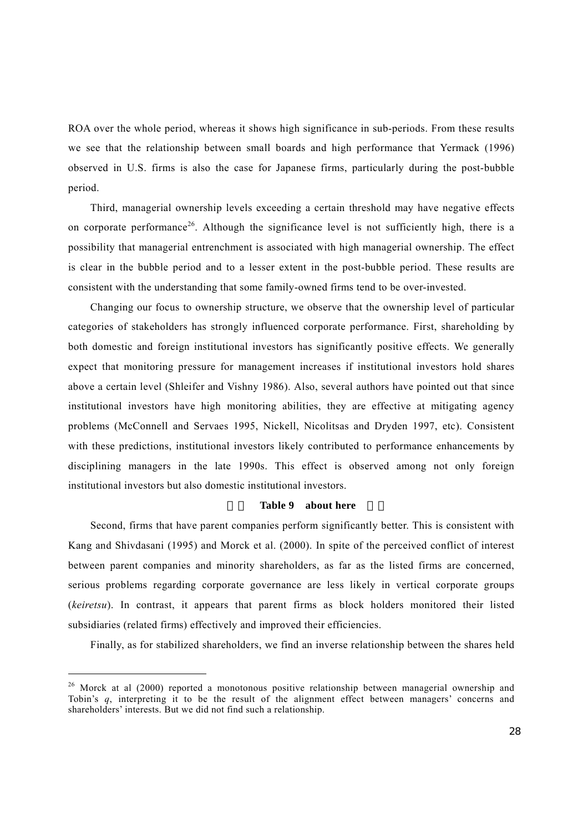ROA over the whole period, whereas it shows high significance in sub-periods. From these results we see that the relationship between small boards and high performance that Yermack (1996) observed in U.S. firms is also the case for Japanese firms, particularly during the post-bubble period.

Third, managerial ownership levels exceeding a certain threshold may have negative effects on corporate performance<sup>26</sup>. Although the significance level is not sufficiently high, there is a possibility that managerial entrenchment is associated with high managerial ownership. The effect is clear in the bubble period and to a lesser extent in the post-bubble period. These results are consistent with the understanding that some family-owned firms tend to be over-invested.

Changing our focus to ownership structure, we observe that the ownership level of particular categories of stakeholders has strongly influenced corporate performance. First, shareholding by both domestic and foreign institutional investors has significantly positive effects. We generally expect that monitoring pressure for management increases if institutional investors hold shares above a certain level (Shleifer and Vishny 1986). Also, several authors have pointed out that since institutional investors have high monitoring abilities, they are effective at mitigating agency problems (McConnell and Servaes 1995, Nickell, Nicolitsas and Dryden 1997, etc). Consistent with these predictions, institutional investors likely contributed to performance enhancements by disciplining managers in the late 1990s. This effect is observed among not only foreign institutional investors but also domestic institutional investors.

#### **Table 9 about here**

Second, firms that have parent companies perform significantly better. This is consistent with Kang and Shivdasani (1995) and Morck et al. (2000). In spite of the perceived conflict of interest between parent companies and minority shareholders, as far as the listed firms are concerned, serious problems regarding corporate governance are less likely in vertical corporate groups (*keiretsu*). In contrast, it appears that parent firms as block holders monitored their listed subsidiaries (related firms) effectively and improved their efficiencies.

Finally, as for stabilized shareholders, we find an inverse relationship between the shares held

l

<sup>&</sup>lt;sup>26</sup> Morck at al (2000) reported a monotonous positive relationship between managerial ownership and Tobin's *q*, interpreting it to be the result of the alignment effect between managers' concerns and shareholders' interests. But we did not find such a relationship.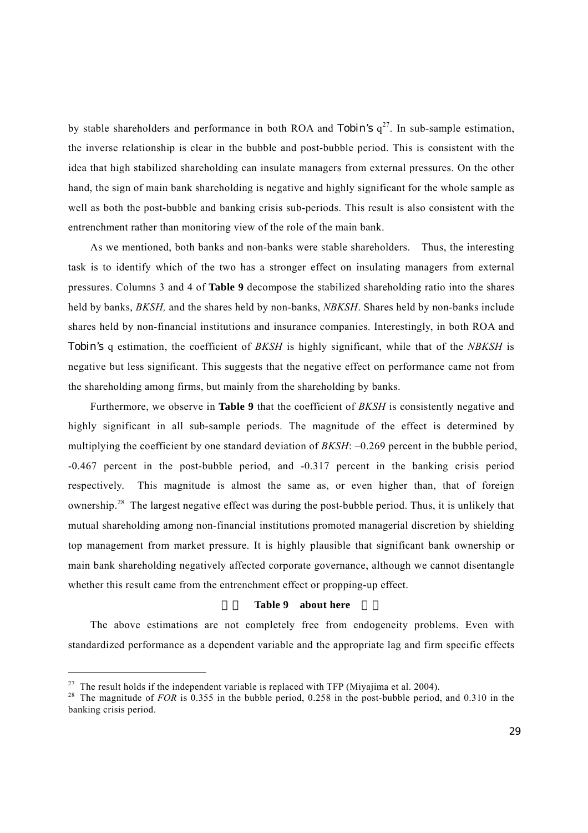by stable shareholders and performance in both ROA and **Tobin's**  $q^{27}$ . In sub-sample estimation, the inverse relationship is clear in the bubble and post-bubble period. This is consistent with the idea that high stabilized shareholding can insulate managers from external pressures. On the other hand, the sign of main bank shareholding is negative and highly significant for the whole sample as well as both the post-bubble and banking crisis sub-periods. This result is also consistent with the entrenchment rather than monitoring view of the role of the main bank.

As we mentioned, both banks and non-banks were stable shareholders. Thus, the interesting task is to identify which of the two has a stronger effect on insulating managers from external pressures. Columns 3 and 4 of **Table 9** decompose the stabilized shareholding ratio into the shares held by banks, *BKSH,* and the shares held by non-banks, *NBKSH*. Shares held by non-banks include shares held by non-financial institutions and insurance companies. Interestingly, in both ROA and Tobin's q estimation, the coefficient of *BKSH* is highly significant, while that of the *NBKSH* is negative but less significant. This suggests that the negative effect on performance came not from the shareholding among firms, but mainly from the shareholding by banks.

Furthermore, we observe in **Table 9** that the coefficient of *BKSH* is consistently negative and highly significant in all sub-sample periods. The magnitude of the effect is determined by multiplying the coefficient by one standard deviation of *BKSH*:  $-0.269$  percent in the bubble period, -0.467 percent in the post-bubble period, and -0.317 percent in the banking crisis period respectively. This magnitude is almost the same as, or even higher than, that of foreign ownership.<sup>28</sup> The largest negative effect was during the post-bubble period. Thus, it is unlikely that mutual shareholding among non-financial institutions promoted managerial discretion by shielding top management from market pressure. It is highly plausible that significant bank ownership or main bank shareholding negatively affected corporate governance, although we cannot disentangle whether this result came from the entrenchment effect or propping-up effect.

#### **Table 9 about here**

The above estimations are not completely free from endogeneity problems. Even with standardized performance as a dependent variable and the appropriate lag and firm specific effects

l

<sup>&</sup>lt;sup>27</sup> The result holds if the independent variable is replaced with TFP (Miyajima et al. 2004).

<sup>&</sup>lt;sup>28</sup> The magnitude of *FOR* is 0.355 in the bubble period, 0.258 in the post-bubble period, and 0.310 in the banking crisis period.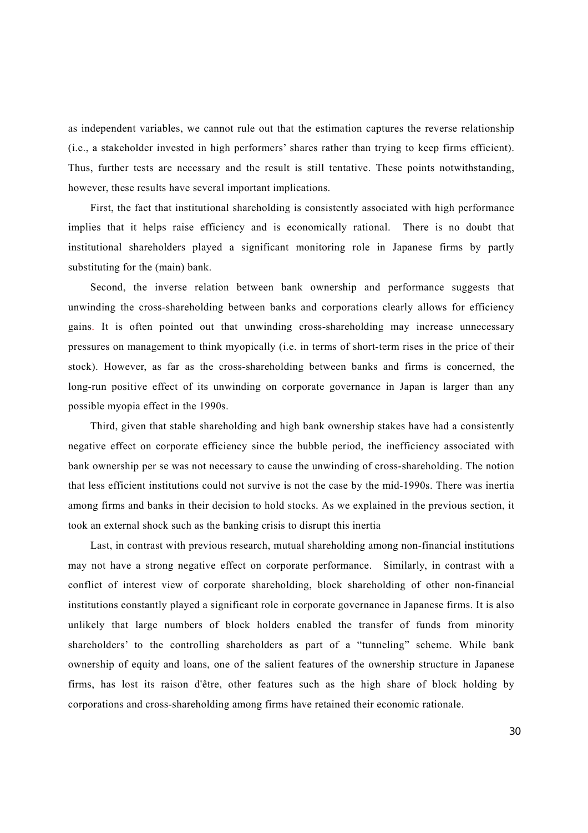as independent variables, we cannot rule out that the estimation captures the reverse relationship (i.e., a stakeholder invested in high performers' shares rather than trying to keep firms efficient). Thus, further tests are necessary and the result is still tentative. These points notwithstanding, however, these results have several important implications.

First, the fact that institutional shareholding is consistently associated with high performance implies that it helps raise efficiency and is economically rational. There is no doubt that institutional shareholders played a significant monitoring role in Japanese firms by partly substituting for the (main) bank.

Second, the inverse relation between bank ownership and performance suggests that unwinding the cross-shareholding between banks and corporations clearly allows for efficiency gains. It is often pointed out that unwinding cross-shareholding may increase unnecessary pressures on management to think myopically (i.e. in terms of short-term rises in the price of their stock). However, as far as the cross-shareholding between banks and firms is concerned, the long-run positive effect of its unwinding on corporate governance in Japan is larger than any possible myopia effect in the 1990s.

Third, given that stable shareholding and high bank ownership stakes have had a consistently negative effect on corporate efficiency since the bubble period, the inefficiency associated with bank ownership per se was not necessary to cause the unwinding of cross-shareholding. The notion that less efficient institutions could not survive is not the case by the mid-1990s. There was inertia among firms and banks in their decision to hold stocks. As we explained in the previous section, it took an external shock such as the banking crisis to disrupt this inertia

Last, in contrast with previous research, mutual shareholding among non-financial institutions may not have a strong negative effect on corporate performance. Similarly, in contrast with a conflict of interest view of corporate shareholding, block shareholding of other non-financial institutions constantly played a significant role in corporate governance in Japanese firms. It is also unlikely that large numbers of block holders enabled the transfer of funds from minority shareholders' to the controlling shareholders as part of a "tunneling" scheme. While bank ownership of equity and loans, one of the salient features of the ownership structure in Japanese firms, has lost its raison d'être, other features such as the high share of block holding by corporations and cross-shareholding among firms have retained their economic rationale.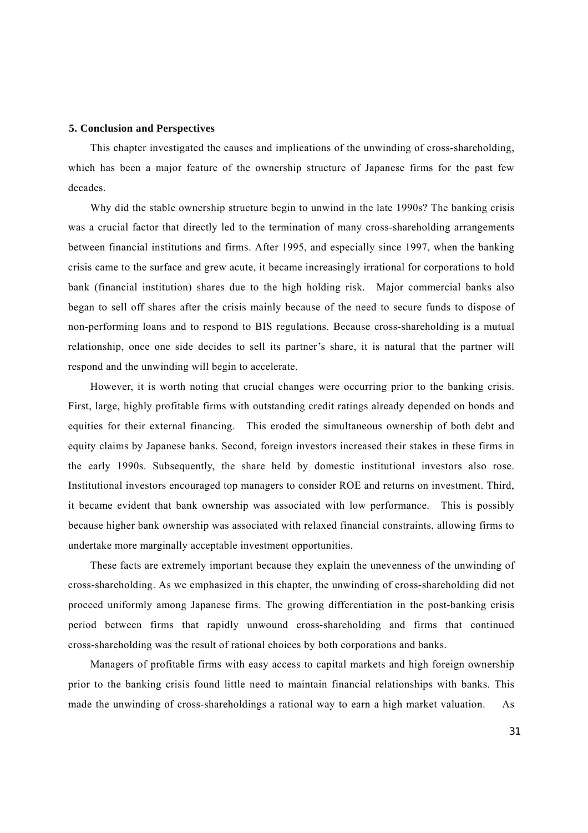#### **5. Conclusion and Perspectives**

This chapter investigated the causes and implications of the unwinding of cross-shareholding, which has been a major feature of the ownership structure of Japanese firms for the past few decades.

Why did the stable ownership structure begin to unwind in the late 1990s? The banking crisis was a crucial factor that directly led to the termination of many cross-shareholding arrangements between financial institutions and firms. After 1995, and especially since 1997, when the banking crisis came to the surface and grew acute, it became increasingly irrational for corporations to hold bank (financial institution) shares due to the high holding risk. Major commercial banks also began to sell off shares after the crisis mainly because of the need to secure funds to dispose of non-performing loans and to respond to BIS regulations. Because cross-shareholding is a mutual relationship, once one side decides to sell its partner's share, it is natural that the partner will respond and the unwinding will begin to accelerate.

However, it is worth noting that crucial changes were occurring prior to the banking crisis. First, large, highly profitable firms with outstanding credit ratings already depended on bonds and equities for their external financing. This eroded the simultaneous ownership of both debt and equity claims by Japanese banks. Second, foreign investors increased their stakes in these firms in the early 1990s. Subsequently, the share held by domestic institutional investors also rose. Institutional investors encouraged top managers to consider ROE and returns on investment. Third, it became evident that bank ownership was associated with low performance. This is possibly because higher bank ownership was associated with relaxed financial constraints, allowing firms to undertake more marginally acceptable investment opportunities.

These facts are extremely important because they explain the unevenness of the unwinding of cross-shareholding. As we emphasized in this chapter, the unwinding of cross-shareholding did not proceed uniformly among Japanese firms. The growing differentiation in the post-banking crisis period between firms that rapidly unwound cross-shareholding and firms that continued cross-shareholding was the result of rational choices by both corporations and banks.

Managers of profitable firms with easy access to capital markets and high foreign ownership prior to the banking crisis found little need to maintain financial relationships with banks. This made the unwinding of cross-shareholdings a rational way to earn a high market valuation. As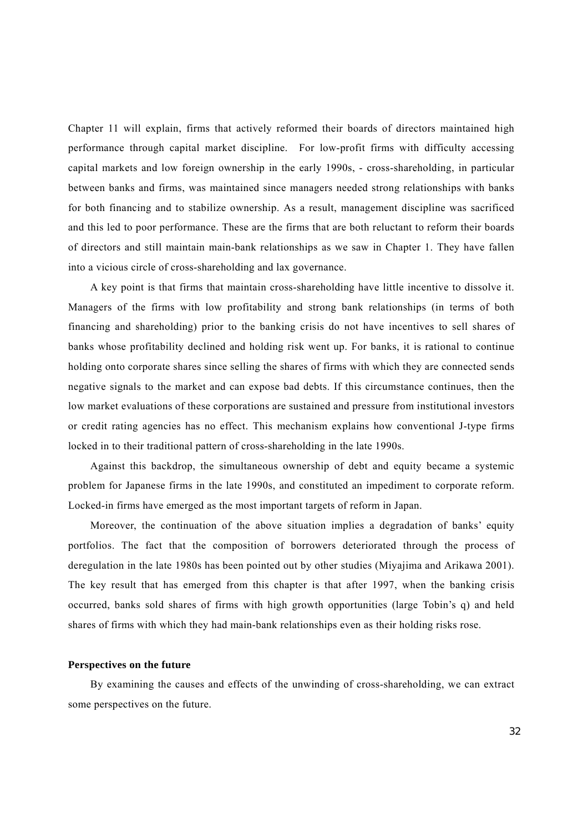Chapter 11 will explain, firms that actively reformed their boards of directors maintained high performance through capital market discipline. For low-profit firms with difficulty accessing capital markets and low foreign ownership in the early 1990s, - cross-shareholding, in particular between banks and firms, was maintained since managers needed strong relationships with banks for both financing and to stabilize ownership. As a result, management discipline was sacrificed and this led to poor performance. These are the firms that are both reluctant to reform their boards of directors and still maintain main-bank relationships as we saw in Chapter 1. They have fallen into a vicious circle of cross-shareholding and lax governance.

A key point is that firms that maintain cross-shareholding have little incentive to dissolve it. Managers of the firms with low profitability and strong bank relationships (in terms of both financing and shareholding) prior to the banking crisis do not have incentives to sell shares of banks whose profitability declined and holding risk went up. For banks, it is rational to continue holding onto corporate shares since selling the shares of firms with which they are connected sends negative signals to the market and can expose bad debts. If this circumstance continues, then the low market evaluations of these corporations are sustained and pressure from institutional investors or credit rating agencies has no effect. This mechanism explains how conventional J-type firms locked in to their traditional pattern of cross-shareholding in the late 1990s.

Against this backdrop, the simultaneous ownership of debt and equity became a systemic problem for Japanese firms in the late 1990s, and constituted an impediment to corporate reform. Locked-in firms have emerged as the most important targets of reform in Japan.

Moreover, the continuation of the above situation implies a degradation of banks' equity portfolios. The fact that the composition of borrowers deteriorated through the process of deregulation in the late 1980s has been pointed out by other studies (Miyajima and Arikawa 2001). The key result that has emerged from this chapter is that after 1997, when the banking crisis occurred, banks sold shares of firms with high growth opportunities (large Tobin's q) and held shares of firms with which they had main-bank relationships even as their holding risks rose.

#### **Perspectives on the future**

By examining the causes and effects of the unwinding of cross-shareholding, we can extract some perspectives on the future.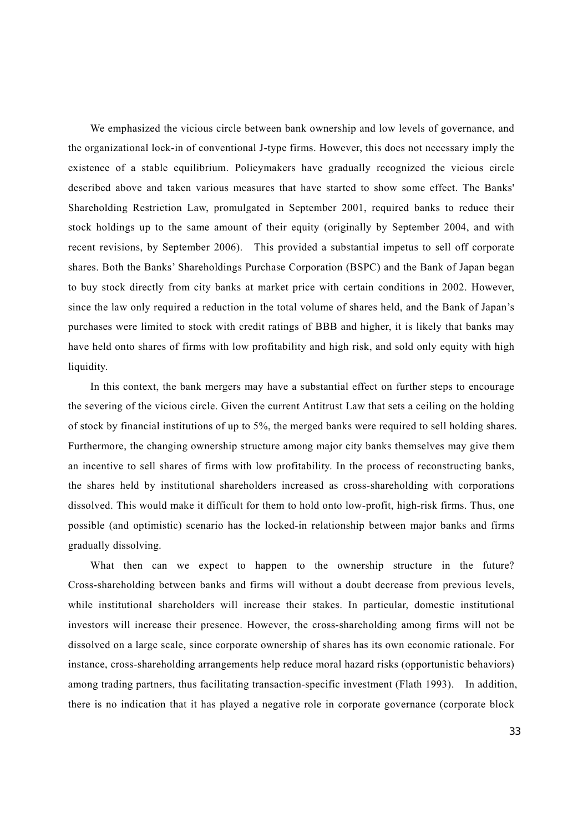We emphasized the vicious circle between bank ownership and low levels of governance, and the organizational lock-in of conventional J-type firms. However, this does not necessary imply the existence of a stable equilibrium. Policymakers have gradually recognized the vicious circle described above and taken various measures that have started to show some effect. The Banks' Shareholding Restriction Law, promulgated in September 2001, required banks to reduce their stock holdings up to the same amount of their equity (originally by September 2004, and with recent revisions, by September 2006). This provided a substantial impetus to sell off corporate shares. Both the Banks' Shareholdings Purchase Corporation (BSPC) and the Bank of Japan began to buy stock directly from city banks at market price with certain conditions in 2002. However, since the law only required a reduction in the total volume of shares held, and the Bank of Japan's purchases were limited to stock with credit ratings of BBB and higher, it is likely that banks may have held onto shares of firms with low profitability and high risk, and sold only equity with high liquidity.

In this context, the bank mergers may have a substantial effect on further steps to encourage the severing of the vicious circle. Given the current Antitrust Law that sets a ceiling on the holding of stock by financial institutions of up to 5%, the merged banks were required to sell holding shares. Furthermore, the changing ownership structure among major city banks themselves may give them an incentive to sell shares of firms with low profitability. In the process of reconstructing banks, the shares held by institutional shareholders increased as cross-shareholding with corporations dissolved. This would make it difficult for them to hold onto low-profit, high-risk firms. Thus, one possible (and optimistic) scenario has the locked-in relationship between major banks and firms gradually dissolving.

What then can we expect to happen to the ownership structure in the future? Cross-shareholding between banks and firms will without a doubt decrease from previous levels, while institutional shareholders will increase their stakes. In particular, domestic institutional investors will increase their presence. However, the cross-shareholding among firms will not be dissolved on a large scale, since corporate ownership of shares has its own economic rationale. For instance, cross-shareholding arrangements help reduce moral hazard risks (opportunistic behaviors) among trading partners, thus facilitating transaction-specific investment (Flath 1993). In addition, there is no indication that it has played a negative role in corporate governance (corporate block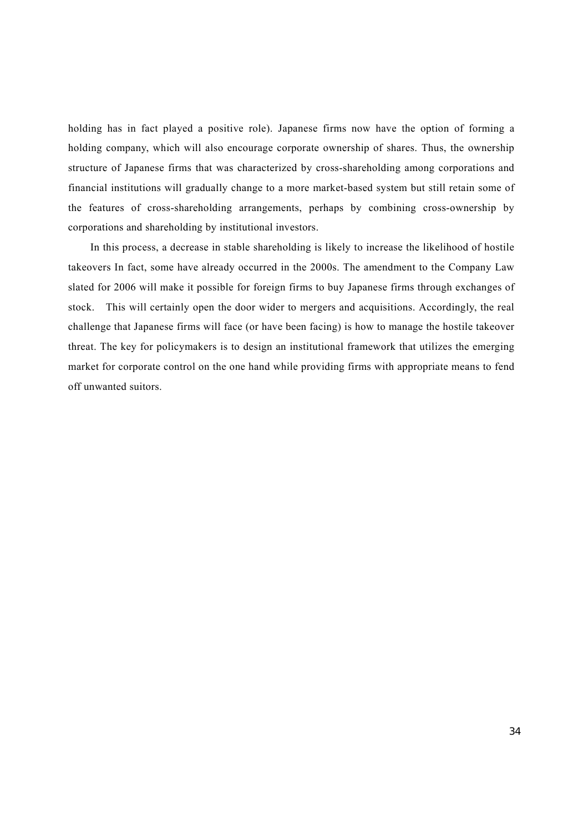holding has in fact played a positive role). Japanese firms now have the option of forming a holding company, which will also encourage corporate ownership of shares. Thus, the ownership structure of Japanese firms that was characterized by cross-shareholding among corporations and financial institutions will gradually change to a more market-based system but still retain some of the features of cross-shareholding arrangements, perhaps by combining cross-ownership by corporations and shareholding by institutional investors.

In this process, a decrease in stable shareholding is likely to increase the likelihood of hostile takeovers In fact, some have already occurred in the 2000s. The amendment to the Company Law slated for 2006 will make it possible for foreign firms to buy Japanese firms through exchanges of stock. This will certainly open the door wider to mergers and acquisitions. Accordingly, the real challenge that Japanese firms will face (or have been facing) is how to manage the hostile takeover threat. The key for policymakers is to design an institutional framework that utilizes the emerging market for corporate control on the one hand while providing firms with appropriate means to fend off unwanted suitors.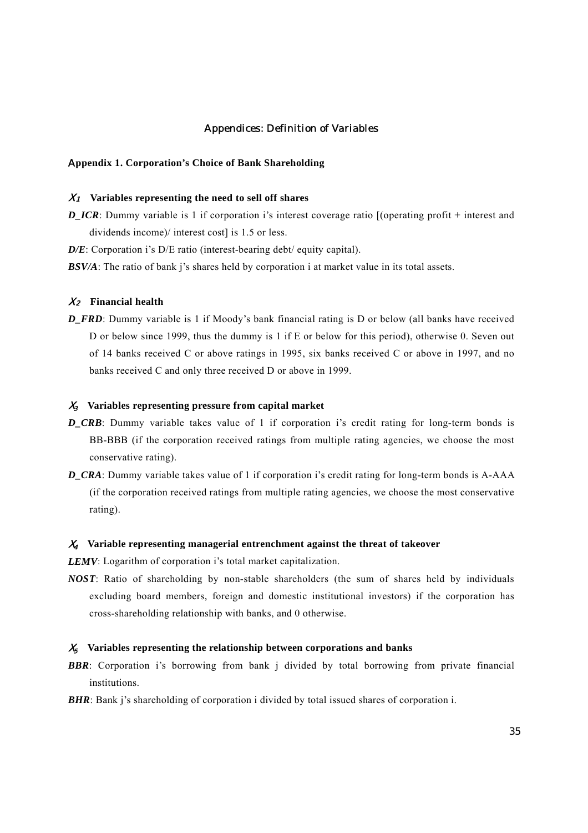# Appendices: Definition of Variables

#### A**ppendix 1. Corporation's Choice of Bank Shareholding**

#### X1 **Variables representing the need to sell off shares**

- *D\_ICR*: Dummy variable is 1 if corporation i's interest coverage ratio  $\alpha$  [(operating profit + interest and dividends income)/ interest cost] is 1.5 or less.
- *D/E*: Corporation i's D/E ratio (interest-bearing debt/ equity capital).
- *BSV/A*: The ratio of bank j's shares held by corporation i at market value in its total assets.

# X2 **Financial health**

*D\_FRD*: Dummy variable is 1 if Moody's bank financial rating is D or below (all banks have received D or below since 1999, thus the dummy is 1 if E or below for this period), otherwise 0. Seven out of 14 banks received C or above ratings in 1995, six banks received C or above in 1997, and no banks received C and only three received D or above in 1999.

#### X3 **Variables representing pressure from capital market**

- *D\_CRB*: Dummy variable takes value of 1 if corporation i's credit rating for long-term bonds is BB-BBB (if the corporation received ratings from multiple rating agencies, we choose the most conservative rating).
- *D\_CRA*: Dummy variable takes value of 1 if corporation i's credit rating for long-term bonds is A-AAA (if the corporation received ratings from multiple rating agencies, we choose the most conservative rating).

#### X4 **Variable representing managerial entrenchment against the threat of takeover**

*LEMV*: Logarithm of corporation i's total market capitalization.

*NOST*: Ratio of shareholding by non-stable shareholders (the sum of shares held by individuals excluding board members, foreign and domestic institutional investors) if the corporation has cross-shareholding relationship with banks, and 0 otherwise.

#### X5 **Variables representing the relationship between corporations and banks**

- **BBR**: Corporation i's borrowing from bank j divided by total borrowing from private financial institutions.
- *BHR*: Bank *i*'s shareholding of corporation i divided by total issued shares of corporation i.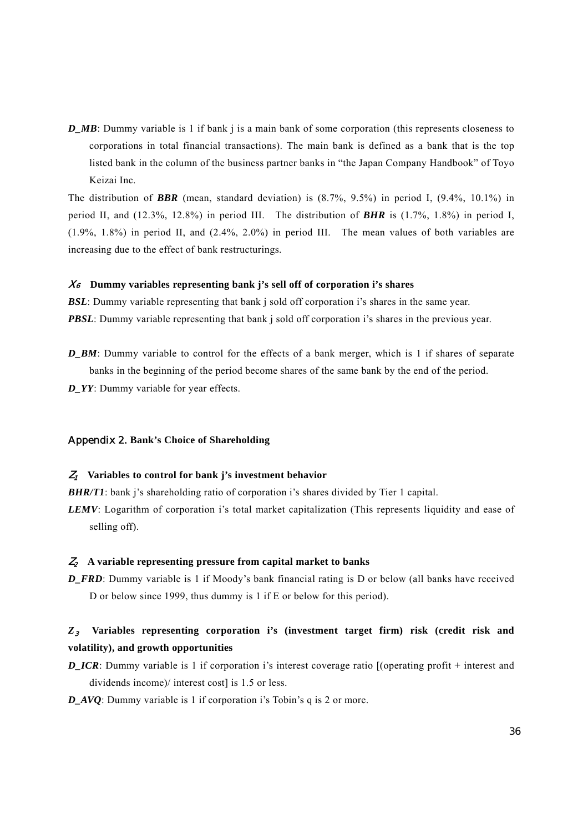*D\_MB*: Dummy variable is 1 if bank j is a main bank of some corporation (this represents closeness to corporations in total financial transactions). The main bank is defined as a bank that is the top listed bank in the column of the business partner banks in "the Japan Company Handbook" of Toyo Keizai Inc.

The distribution of *BBR* (mean, standard deviation) is (8.7%, 9.5%) in period I, (9.4%, 10.1%) in period II, and (12.3%, 12.8%) in period III. The distribution of *BHR* is (1.7%, 1.8%) in period I, (1.9%, 1.8%) in period II, and (2.4%, 2.0%) in period III. The mean values of both variables are increasing due to the effect of bank restructurings.

#### X6 **Dummy variables representing bank j's sell off of corporation i's shares**

**BSL:** Dummy variable representing that bank j sold off corporation i's shares in the same year. *PBSL*: Dummy variable representing that bank j sold off corporation i's shares in the previous year.

- *D\_BM*: Dummy variable to control for the effects of a bank merger, which is 1 if shares of separate banks in the beginning of the period become shares of the same bank by the end of the period.
- *D\_YY*: Dummy variable for year effects.

## Appendix 2. **Bank's Choice of Shareholding**

# Z1 **Variables to control for bank j's investment behavior**

*BHR/T1*: bank j's shareholding ratio of corporation i's shares divided by Tier 1 capital.

*LEMV*: Logarithm of corporation i's total market capitalization (This represents liquidity and ease of selling off).

### Z2 **A variable representing pressure from capital market to banks**

*D\_FRD*: Dummy variable is 1 if Moody's bank financial rating is D or below (all banks have received D or below since 1999, thus dummy is 1 if E or below for this period).

# *Z*3 **Variables representing corporation i's (investment target firm) risk (credit risk and volatility), and growth opportunities**

- *D\_ICR*: Dummy variable is 1 if corporation i's interest coverage ratio [(operating profit + interest and dividends income)/ interest cost] is 1.5 or less.
- *D\_AVQ*: Dummy variable is 1 if corporation i's Tobin's q is 2 or more.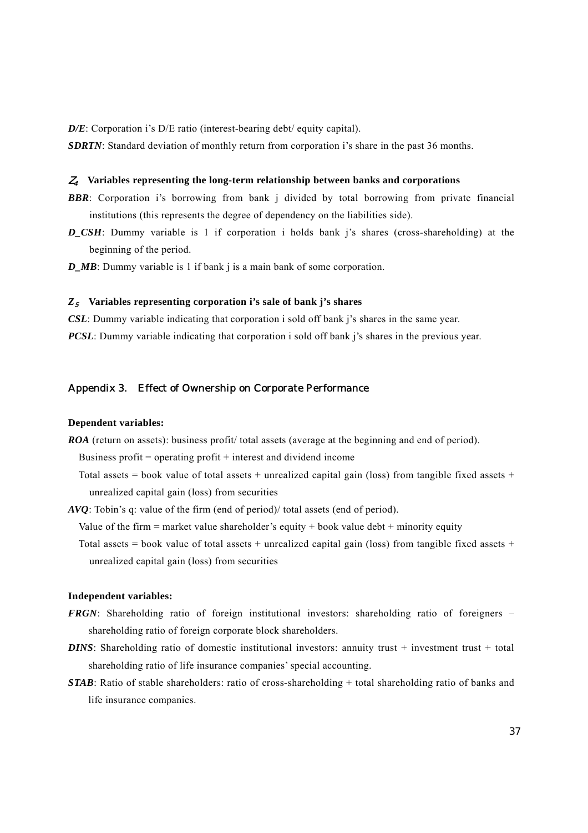*D/E*: Corporation i's D/E ratio (interest-bearing debt/ equity capital).

**SDRTN**: Standard deviation of monthly return from corporation i's share in the past 36 months.

#### Z4 **Variables representing the long-term relationship between banks and corporations**

- *BBR*: Corporation i's borrowing from bank j divided by total borrowing from private financial institutions (this represents the degree of dependency on the liabilities side).
- *D\_CSH*: Dummy variable is 1 if corporation i holds bank j's shares (cross-shareholding) at the beginning of the period.
- *D\_MB*: Dummy variable is 1 if bank j is a main bank of some corporation.

#### *Z*5 **Variables representing corporation i's sale of bank j's shares**

*CSL*: Dummy variable indicating that corporation i sold off bank j's shares in the same year. *PCSL*: Dummy variable indicating that corporation i sold off bank j's shares in the previous year.

# Appendix 3. Effect of Ownership on Corporate Performance

#### **Dependent variables:**

- *ROA* (return on assets): business profit/ total assets (average at the beginning and end of period).
	- Business profit  $=$  operating profit  $+$  interest and dividend income
	- Total assets = book value of total assets + unrealized capital gain (loss) from tangible fixed assets + unrealized capital gain (loss) from securities
- *AVQ*: Tobin's q: value of the firm (end of period)/ total assets (end of period).

Value of the firm = market value shareholder's equity + book value debt + minority equity

Total assets = book value of total assets + unrealized capital gain (loss) from tangible fixed assets + unrealized capital gain (loss) from securities

#### **Independent variables:**

- *FRGN*: Shareholding ratio of foreign institutional investors: shareholding ratio of foreigners shareholding ratio of foreign corporate block shareholders.
- *DINS*: Shareholding ratio of domestic institutional investors: annuity trust + investment trust + total shareholding ratio of life insurance companies' special accounting.
- *STAB*: Ratio of stable shareholders: ratio of cross-shareholding + total shareholding ratio of banks and life insurance companies.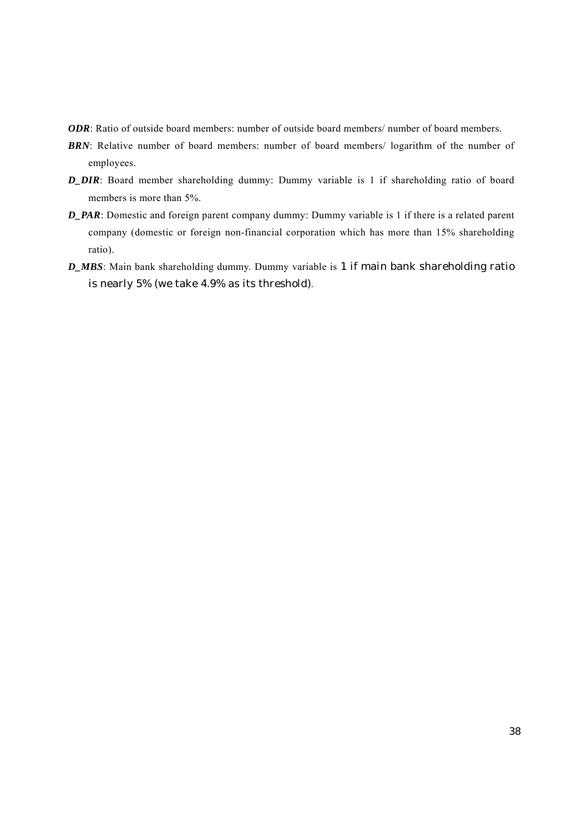- *ODR*: Ratio of outside board members: number of outside board members/ number of board members.
- **BRN**: Relative number of board members: number of board members/ logarithm of the number of employees.
- *D\_DIR*: Board member shareholding dummy: Dummy variable is 1 if shareholding ratio of board members is more than 5%.
- *D\_PAR*: Domestic and foreign parent company dummy: Dummy variable is 1 if there is a related parent company (domestic or foreign non-financial corporation which has more than 15% shareholding ratio).
- *D\_MBS*: Main bank shareholding dummy. Dummy variable is 1 if main bank shareholding ratio is nearly 5% (we take 4.9% as its threshold).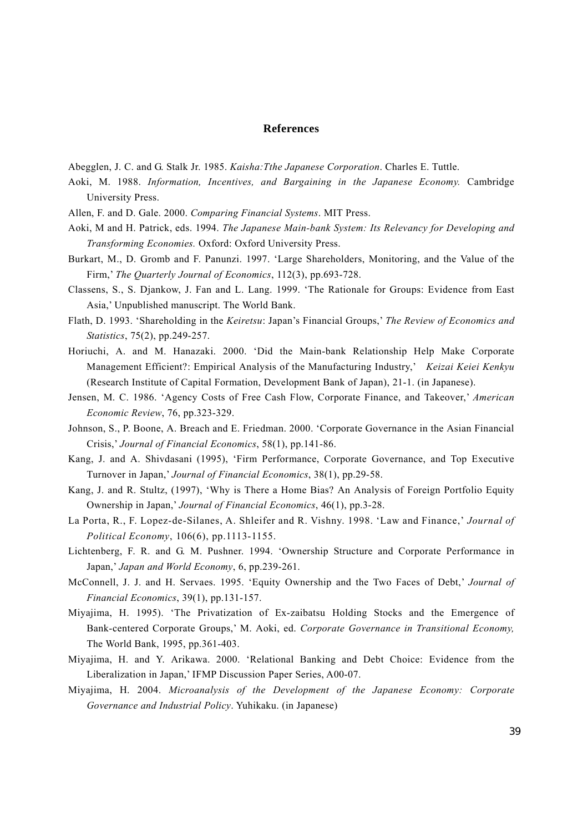# **References**

Abegglen, J. C. and G. Stalk Jr. 1985. *Kaisha:Tthe Japanese Corporation*. Charles E. Tuttle.

- Aoki, M. 1988. *Information, Incentives, and Bargaining in the Japanese Economy.* Cambridge University Press.
- Allen, F. and D. Gale. 2000. *Comparing Financial Systems*. MIT Press.
- Aoki, M and H. Patrick, eds. 1994. *The Japanese Main-bank System: Its Relevancy for Developing and Transforming Economies.* Oxford: Oxford University Press.
- Burkart, M., D. Gromb and F. Panunzi. 1997. 'Large Shareholders, Monitoring, and the Value of the Firm,' *The Quarterly Journal of Economics*, 112(3), pp.693-728.
- Classens, S., S. Djankow, J. Fan and L. Lang. 1999. 'The Rationale for Groups: Evidence from East Asia,' Unpublished manuscript. The World Bank.
- Flath, D. 1993. 'Shareholding in the *Keiretsu*: Japan's Financial Groups,' *The Review of Economics and Statistics*, 75(2), pp.249-257.
- Horiuchi, A. and M. Hanazaki. 2000. 'Did the Main-bank Relationship Help Make Corporate Management Efficient?: Empirical Analysis of the Manufacturing Industry,' *Keizai Keiei Kenkyu* (Research Institute of Capital Formation, Development Bank of Japan), 21-1. (in Japanese).
- Jensen, M. C. 1986. 'Agency Costs of Free Cash Flow, Corporate Finance, and Takeover,' *American Economic Review*, 76, pp.323-329.
- Johnson, S., P. Boone, A. Breach and E. Friedman. 2000. 'Corporate Governance in the Asian Financial Crisis,' *Journal of Financial Economics*, 58(1), pp.141-86.
- Kang, J. and A. Shivdasani (1995), 'Firm Performance, Corporate Governance, and Top Executive Turnover in Japan,' *Journal of Financial Economics*, 38(1), pp.29-58.
- Kang, J. and R. Stultz, (1997), 'Why is There a Home Bias? An Analysis of Foreign Portfolio Equity Ownership in Japan,' *Journal of Financial Economics*, 46(1), pp.3-28.
- La Porta, R., F. Lopez-de-Silanes, A. Shleifer and R. Vishny. 1998. 'Law and Finance,' *Journal of Political Economy*, 106(6), pp.1113-1155.
- Lichtenberg, F. R. and G. M. Pushner. 1994. 'Ownership Structure and Corporate Performance in Japan,' *Japan and World Economy*, 6, pp.239-261.
- McConnell, J. J. and H. Servaes. 1995. 'Equity Ownership and the Two Faces of Debt,' *Journal of Financial Economics*, 39(1), pp.131-157.
- Miyajima, H. 1995). 'The Privatization of Ex-zaibatsu Holding Stocks and the Emergence of Bank-centered Corporate Groups,' M. Aoki, ed. *Corporate Governance in Transitional Economy,*  The World Bank, 1995, pp.361-403.
- Miyajima, H. and Y. Arikawa. 2000. 'Relational Banking and Debt Choice: Evidence from the Liberalization in Japan,' IFMP Discussion Paper Series, A00-07.
- Miyajima, H. 2004. *Microanalysis of the Development of the Japanese Economy: Corporate Governance and Industrial Policy*. Yuhikaku. (in Japanese)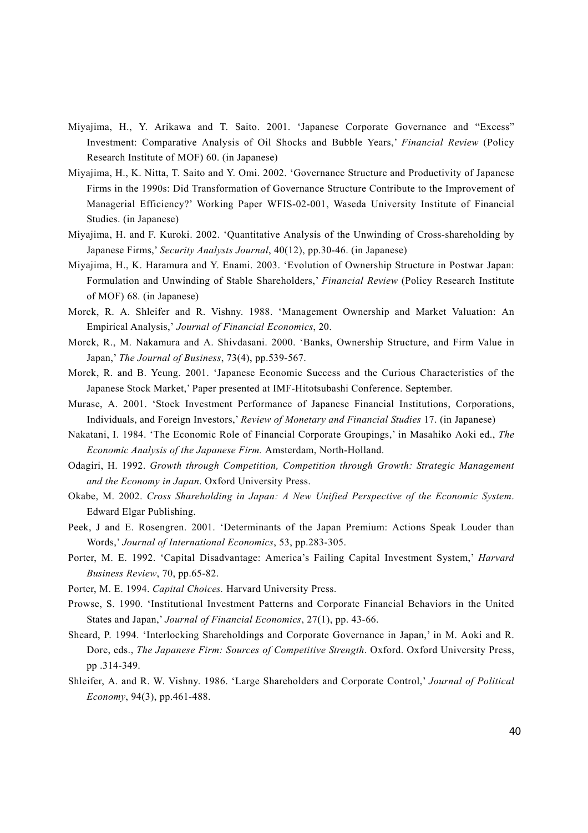- Miyajima, H., Y. Arikawa and T. Saito. 2001. 'Japanese Corporate Governance and "Excess" Investment: Comparative Analysis of Oil Shocks and Bubble Years,' *Financial Review* (Policy Research Institute of MOF) 60. (in Japanese)
- Miyajima, H., K. Nitta, T. Saito and Y. Omi. 2002. 'Governance Structure and Productivity of Japanese Firms in the 1990s: Did Transformation of Governance Structure Contribute to the Improvement of Managerial Efficiency?' Working Paper WFIS-02-001, Waseda University Institute of Financial Studies. (in Japanese)
- Miyajima, H. and F. Kuroki. 2002. 'Quantitative Analysis of the Unwinding of Cross-shareholding by Japanese Firms,' *Security Analysts Journal*, 40(12), pp.30-46. (in Japanese)
- Miyajima, H., K. Haramura and Y. Enami. 2003. 'Evolution of Ownership Structure in Postwar Japan: Formulation and Unwinding of Stable Shareholders,' *Financial Review* (Policy Research Institute of MOF) 68. (in Japanese)
- Morck, R. A. Shleifer and R. Vishny. 1988. 'Management Ownership and Market Valuation: An Empirical Analysis,' *Journal of Financial Economics*, 20.
- Morck, R., M. Nakamura and A. Shivdasani. 2000. 'Banks, Ownership Structure, and Firm Value in Japan,' *The Journal of Business*, 73(4), pp.539-567.
- Morck, R. and B. Yeung. 2001. 'Japanese Economic Success and the Curious Characteristics of the Japanese Stock Market,' Paper presented at IMF-Hitotsubashi Conference. September.
- Murase, A. 2001. 'Stock Investment Performance of Japanese Financial Institutions, Corporations, Individuals, and Foreign Investors,' *Review of Monetary and Financial Studies* 17. (in Japanese)
- Nakatani, I. 1984. 'The Economic Role of Financial Corporate Groupings,' in Masahiko Aoki ed., *The Economic Analysis of the Japanese Firm.* Amsterdam, North-Holland.
- Odagiri, H. 1992. *Growth through Competition, Competition through Growth: Strategic Management and the Economy in Japan*. Oxford University Press.
- Okabe, M. 2002. *Cross Shareholding in Japan: A New Unified Perspective of the Economic System*. Edward Elgar Publishing.
- Peek, J and E. Rosengren. 2001. 'Determinants of the Japan Premium: Actions Speak Louder than Words,' *Journal of International Economics*, 53, pp.283-305.
- Porter, M. E. 1992. 'Capital Disadvantage: America's Failing Capital Investment System,' *Harvard Business Review*, 70, pp.65-82.
- Porter, M. E. 1994. *Capital Choices.* Harvard University Press.
- Prowse, S. 1990. 'Institutional Investment Patterns and Corporate Financial Behaviors in the United States and Japan,' *Journal of Financial Economics*, 27(1), pp. 43-66.
- Sheard, P. 1994. 'Interlocking Shareholdings and Corporate Governance in Japan,' in M. Aoki and R. Dore, eds., *The Japanese Firm: Sources of Competitive Strength*. Oxford. Oxford University Press, pp .314-349.
- Shleifer, A. and R. W. Vishny. 1986. 'Large Shareholders and Corporate Control,' *Journal of Political Economy*, 94(3), pp.461-488.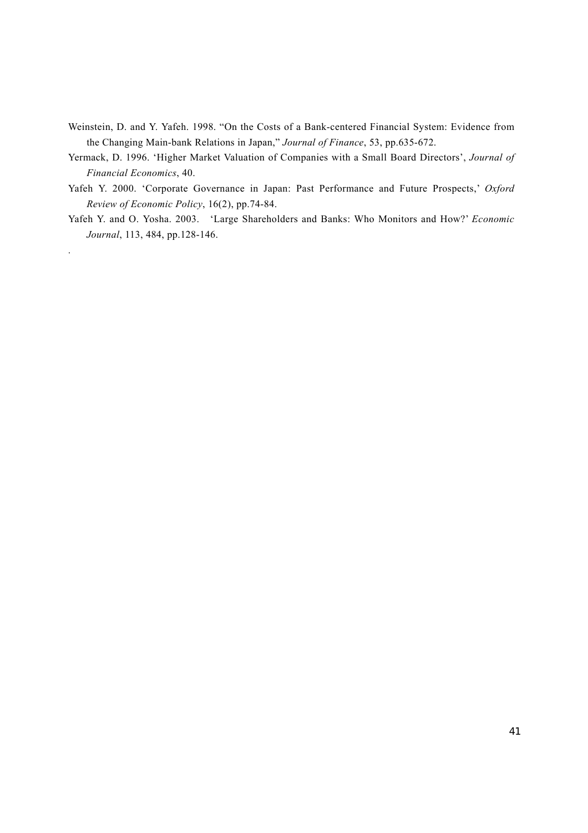- Weinstein, D. and Y. Yafeh. 1998. "On the Costs of a Bank-centered Financial System: Evidence from the Changing Main-bank Relations in Japan," *Journal of Finance*, 53, pp.635-672.
- Yermack, D. 1996. 'Higher Market Valuation of Companies with a Small Board Directors', *Journal of Financial Economics*, 40.
- Yafeh Y. 2000. 'Corporate Governance in Japan: Past Performance and Future Prospects,' *Oxford Review of Economic Policy*, 16(2), pp.74-84.
- Yafeh Y. and O. Yosha. 2003. 'Large Shareholders and Banks: Who Monitors and How?' *Economic Journal*, 113, 484, pp.128-146.

.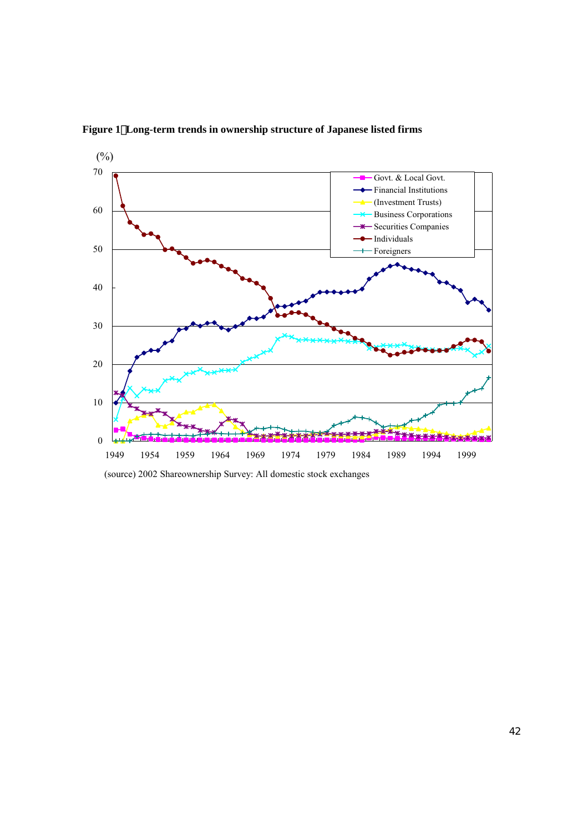

**Figure 1**:**Long-term trends in ownership structure of Japanese listed firms**

(source) 2002 Shareownership Survey: All domestic stock exchanges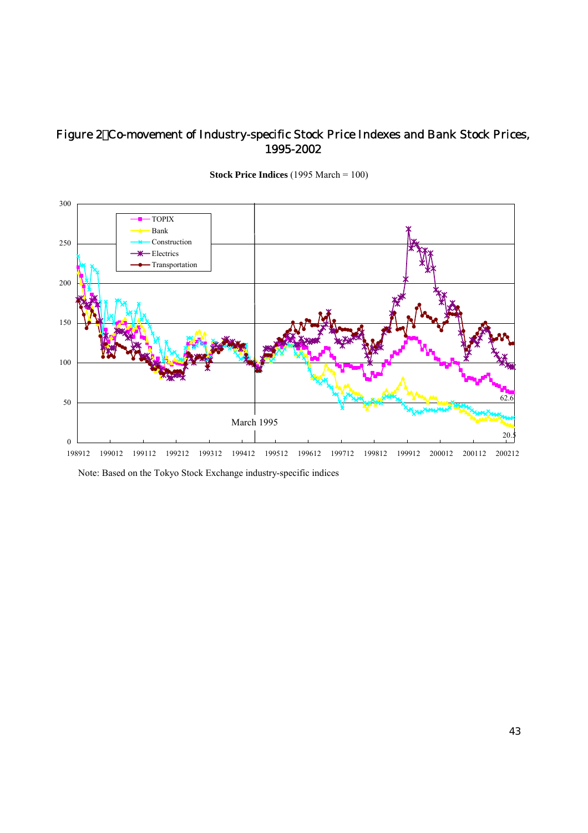# Figure 2:Co-movement of Industry-specific Stock Price Indexes and Bank Stock Prices, 1995-2002



**Stock Price Indices** (1995 March = 100)

Note: Based on the Tokyo Stock Exchange industry-specific indices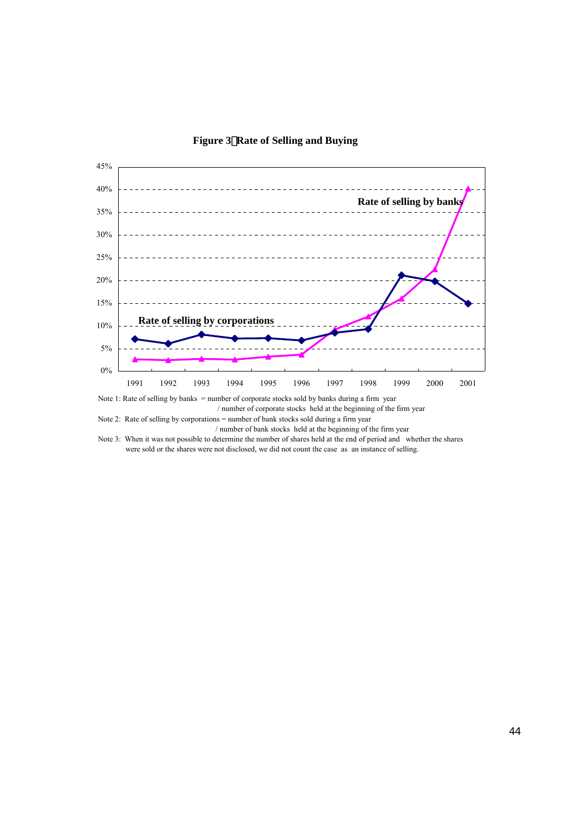





/ number of bank stocks held at the beginning of the firm year

Note 3: When it was not possible to determine the number of shares held at the end of period and whether the shares were sold or the shares were not disclosed, we did not count the case as an instance of selling.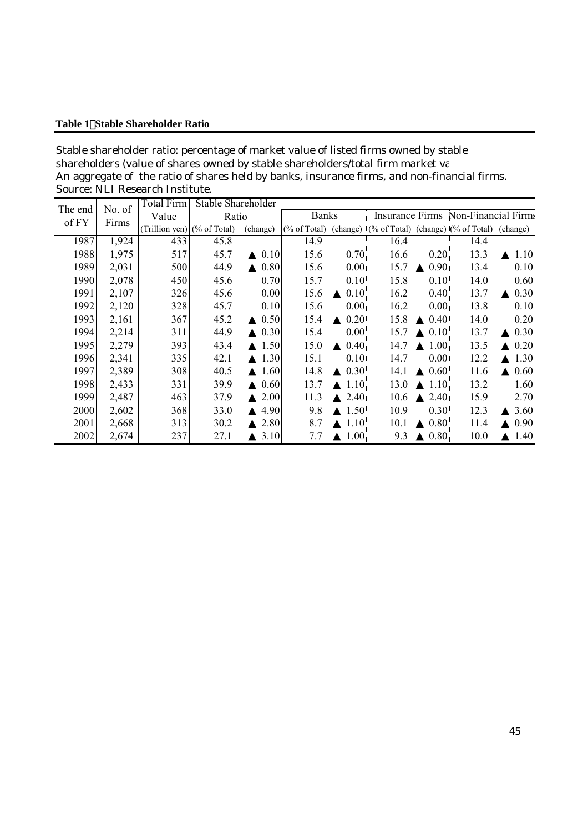# **Table 1**:**Stable Shareholder Ratio**

Stable shareholder ratio: percentage of market value of listed firms owned by stable shareholders (value of shares owned by stable shareholders/total firm market va An aggregate of the ratio of shares held by banks, insurance firms, and non-financial firms. Source: NLI Research Institute.

| The end | No. of | Total Firm                  | Stable Shareholder |          |                         |              |      |       |                                             |          |
|---------|--------|-----------------------------|--------------------|----------|-------------------------|--------------|------|-------|---------------------------------------------|----------|
|         |        | Value                       | Ratio              |          |                         | <b>Banks</b> |      |       | Insurance Firms Non-Financial Firms         |          |
| of FY   | Firms  | (Trillion yen) (% of Total) |                    | (change) | $(\% \text{ of Total})$ |              |      |       | (change) (% of Total) (change) (% of Total) | (change) |
| 1987    | 1,924  | 433                         | 45.8               |          | 14.9                    |              | 16.4 |       | 14.4                                        |          |
| 1988    | 1,975  | 517                         | 45.7               | 0.10     | 15.6                    | 0.70         | 16.6 | 0.20  | 13.3                                        | 1.10     |
| 1989    | 2,031  | 500                         | 44.9               | 0.80     | 15.6                    | 0.00         | 15.7 | 0.90  | 13.4                                        | 0.10     |
| 1990    | 2,078  | 450                         | 45.6               | 0.70     | 15.7                    | 0.10         | 15.8 | 0.10  | 14.0                                        | 0.60     |
| 1991    | 2,107  | 326                         | 45.6               | 0.00     | 15.6                    | 0.10         | 16.2 | 0.40  | 13.7                                        | 0.30     |
| 1992    | 2,120  | 328                         | 45.7               | 0.10     | 15.6                    | 0.00         | 16.2 | 0.00  | 13.8                                        | 0.10     |
| 1993    | 2,161  | 367                         | 45.2               | 0.50     | 15.4                    | 0.20         | 15.8 | 0.40  | 14.0                                        | 0.20     |
| 1994    | 2,214  | 311                         | 44.9               | 0.30     | 15.4                    | 0.00         | 15.7 | 0.10  | 13.7                                        | 0.30     |
| 1995    | 2,279  | 393                         | 43.4               | 1.50     | 15.0                    | 0.40         | 14.7 | 1.00  | 13.5                                        | 0.20     |
| 1996    | 2,341  | 335                         | 42.1               | 1.30     | 15.1                    | 0.10         | 14.7 | 0.001 | 12.2                                        | 1.30     |
| 1997    | 2,389  | 308                         | 40.5               | 1.60     | 14.8                    | 0.30         | 14.1 | 0.60  | 11.6                                        | 0.60     |
| 1998    | 2,433  | 331                         | 39.9               | 0.60     | 13.7                    | 1.10         | 13.0 | 1.10  | 13.2                                        | 1.60     |
| 1999    | 2,487  | 463                         | 37.9               | 2.00     | 11.3                    | 2.40         | 10.6 | 2.40  | 15.9                                        | 2.70     |
| 2000    | 2,602  | 368                         | 33.0               | 4.90     | 9.8                     | 1.50         | 10.9 | 0.30  | 12.3                                        | 3.60     |
| 2001    | 2,668  | 313                         | 30.2               | 2.80     | 8.7                     | 1.10         | 10.1 | 0.80  | 11.4                                        | 0.90     |
| 2002    | 2,674  | 237                         | 27.1               | 3.10     | 7.7                     | 1.00         | 9.3  | 0.80  | 10.0                                        | 1.40     |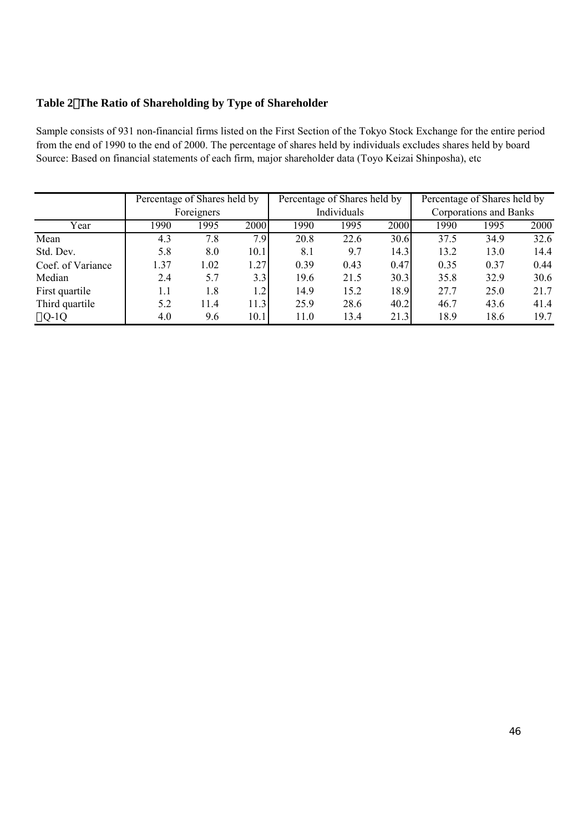# **Table 2**:**The Ratio of Shareholding by Type of Shareholder**

Source: Based on financial statements of each firm, major shareholder data (Toyo Keizai Shinposha), etc Sample consists of 931 non-financial firms listed on the First Section of the Tokyo Stock Exchange for the entire period from the end of 1990 to the end of 2000. The percentage of shares held by individuals excludes shares held by board

|                   | Percentage of Shares held by |      |                  | Percentage of Shares held by |      |      | Percentage of Shares held by |      |      |
|-------------------|------------------------------|------|------------------|------------------------------|------|------|------------------------------|------|------|
| Foreigners        |                              |      |                  | Individuals                  |      |      | Corporations and Banks       |      |      |
| Year              | 1990                         | 1995 | 2000             | 1990                         | 1995 | 2000 | 1990                         | 1995 | 2000 |
| Mean              | 4.3                          | 7.8  | 7.9              | 20.8                         | 22.6 | 30.6 | 37.5                         | 34.9 | 32.6 |
| Std. Dev.         | 5.8                          | 8.0  | 10.1             | 8.1                          | 9.7  | 14.3 | 13.2                         | 13.0 | 14.4 |
| Coef. of Variance | 1.37                         | 1.02 | 1.27             | 0.39                         | 0.43 | 0.47 | 0.35                         | 0.37 | 0.44 |
| Median            | 2.4                          | 5.7  | 3.3              | 19.6                         | 21.5 | 30.3 | 35.8                         | 32.9 | 30.6 |
| First quartile    | 1.1                          | 1.8  | 1.2 <sub>l</sub> | 14.9                         | 15.2 | 18.9 | 27.7                         | 25.0 | 21.7 |
| Third quartile    | 5.2                          | 11.4 | 11.3             | 25.9                         | 28.6 | 40.2 | 46.7                         | 43.6 | 41.4 |
| $Q-1Q$            | 4.0                          | 9.6  | 10.1             | 11.0                         | 13.4 | 21.3 | 18.9                         | 18.6 | 19.7 |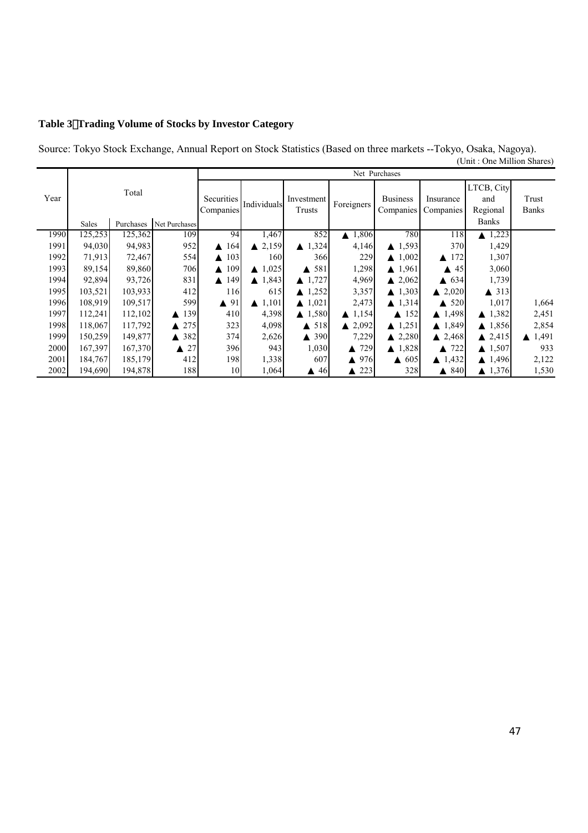# **Table 3**:**Trading Volume of Stocks by Investor Category**

|      |         |           |               |                                |             |                      |            | Net Purchases                |                        |                               |                       |
|------|---------|-----------|---------------|--------------------------------|-------------|----------------------|------------|------------------------------|------------------------|-------------------------------|-----------------------|
| Year |         | Total     |               | <b>Securities</b><br>Companies | Individuals | Investment<br>Trusts | Foreigners | <b>Business</b><br>Companies | Insurance<br>Companies | LTCB, City<br>and<br>Regional | Trust<br><b>Banks</b> |
|      | Sales   | Purchases | Net Purchases |                                |             |                      |            |                              |                        | <b>Banks</b>                  |                       |
| 1990 | 125,253 | 125,362   | 109           | 94                             | 1,467       | 852                  | 1,806      | 780                          | 118                    | 1,223                         |                       |
| 1991 | 94,030  | 94,983    | 952           | 164                            | 2,159       | 1,324                | 4,146      | 1,593                        | 370                    | 1,429                         |                       |
| 1992 | 71,913  | 72,467    | 554           | 103                            | 160         | 366                  | 229        | 1,002                        | 172                    | 1,307                         |                       |
| 1993 | 89,154  | 89,860    | 706           | 109                            | 1,025       | 581                  | 1,298      | 1,961                        | 45                     | 3,060                         |                       |
| 1994 | 92,894  | 93,726    | 831           | 149                            | 1,843       | 1,727                | 4,969      | 2,062                        | 634                    | 1,739                         |                       |
| 1995 | 103,521 | 103,933   | 412           | 116                            | 615         | 1,252                | 3,357      | 1,303                        | 2,020                  | 313                           |                       |
| 1996 | 108,919 | 109,517   | 599           | 91                             | 1,101       | 1,021                | 2,473      | 1,314                        | 520                    | 1,017                         | 1,664                 |
| 1997 | 112,241 | 112,102   | 139           | 410                            | 4,398       | 1,580                | 1,154      | 152                          | 1,498                  | 1,382                         | 2,451                 |
| 1998 | 118,067 | 117,792   | 275           | 323                            | 4,098       | 518                  | 2,092      | 1,251                        | 1,849                  | 1,856                         | 2,854                 |
| 1999 | 150,259 | 149,877   | 382           | 374                            | 2,626       | 390                  | 7,229      | 2,280                        | 2,468                  | 2,415                         | 1,491                 |
| 2000 | 167,397 | 167,370   | 27            | 396                            | 943         | 1,030                | 729        | 1,828                        | 722                    | 1,507                         | 933                   |
| 2001 | 184,767 | 185,179   | 412           | 198                            | 1,338       | 607                  | 976        | 605                          | 1,432                  | 1,496                         | 2,122                 |
| 2002 | 194,690 | 194,878   | 188           | 10                             | 1,064       | 46                   | 223        | 328                          | 840                    | 1,376                         | 1,530                 |

Source: Tokyo Stock Exchange, Annual Report on Stock Statistics (Based on three markets --Tokyo, Osaka, Nagoya). (Unit : One Million Shares)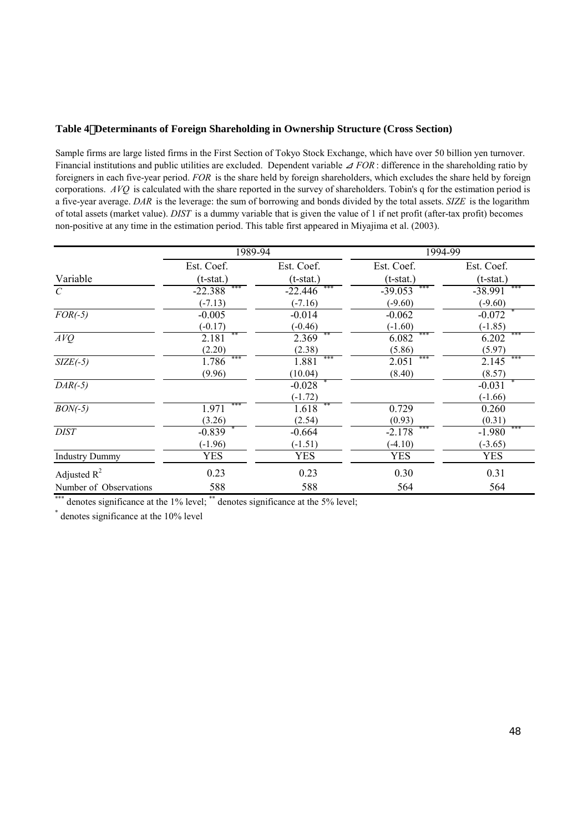# **Table 4**:**Determinants of Foreign Shareholding in Ownership Structure (Cross Section)**

Sample firms are large listed firms in the First Section of Tokyo Stock Exchange, which have over 50 billion yen turnover. Financial institutions and public utilities are excluded. Dependent variable *FOR* : difference in the shareholding ratio by foreigners in each five-year period. *FOR* is the share held by foreign shareholders, which excludes the share held by foreign corporations. *AVQ* is calculated with the share reported in the survey of shareholders. Tobin's q for the estimation period is a five-year average. *DAR* is the leverage: the sum of borrowing and bonds divided by the total assets. *SIZE* is the logarithm of total assets (market value). *DIST* is a dummy variable that is given the value of 1 if net profit (after-tax profit) becomes non-positive at any time in the estimation period. This table first appeared in Miyajima et al. (2003).

|                             | 1989-94          |                  | 1994-99          |                  |
|-----------------------------|------------------|------------------|------------------|------------------|
|                             | Est. Coef.       | Est. Coef.       | Est. Coef.       | Est. Coef.       |
| Variable                    | $(t-stat.)$      | $(t-stat.)$      | $(t-stat.)$      | $(t-stat.)$      |
| $\mathcal{C}_{\mathcal{C}}$ | ***<br>$-22.388$ | ***<br>$-22.446$ | ***<br>$-39.053$ | ***<br>$-38.991$ |
|                             | $(-7.13)$        | $(-7.16)$        | $(-9.60)$        | $(-9.60)$        |
| $FOR(-5)$                   | $-0.005$         | $-0.014$         | $-0.062$         | $-0.072$         |
|                             | $(-0.17)$        | $(-0.46)$        | $(-1.60)$        | $(-1.85)$        |
| AVQ                         | **<br>2.181      | $**$<br>2.369    | ***<br>6.082     | ***<br>6.202     |
|                             | (2.20)           | (2.38)           | (5.86)           | (5.97)           |
| $SIZE(-5)$                  | ***<br>1.786     | ***<br>1.881     | ***<br>2.051     | ***<br>2.145     |
|                             | (9.96)           | (10.04)          | (8.40)           | (8.57)           |
| $DAR(-5)$                   |                  | $-0.028$         |                  | $-0.031$         |
|                             |                  | $(-1.72)$        |                  | $(-1.66)$        |
| $BON(-5)$                   | ***<br>1.971     | $**$<br>1.618    | 0.729            | 0.260            |
|                             | (3.26)           | (2.54)           | (0.93)           | (0.31)           |
| <b>DIST</b>                 | $-0.839$         | $-0.664$         | ***<br>$-2.178$  | ***<br>$-1.980$  |
|                             | $(-1.96)$        | $(-1.51)$        | $(-4.10)$        | $(-3.65)$        |
| <b>Industry Dummy</b>       | <b>YES</b>       | <b>YES</b>       | <b>YES</b>       | <b>YES</b>       |
| Adjusted $R^2$              | 0.23             | 0.23             | 0.30             | 0.31             |
| Number of Observations      | 588              | 588              | 564              | 564              |

\*\*\* denotes significance at the 1% level; \*\* denotes significance at the 5% level;

\* denotes significance at the 10% level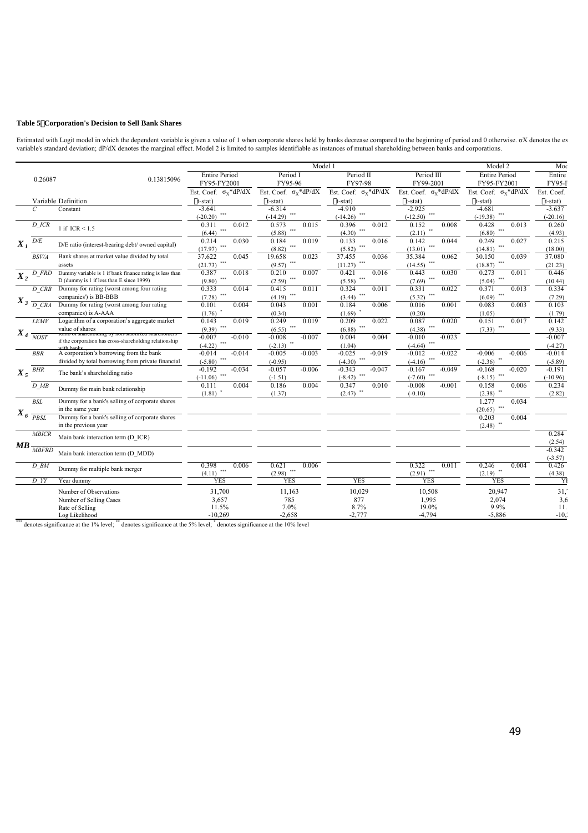#### **Table 5**:**Corporation's Decision to Sell Bank Shares**

Estimated with Logit model in which the dependent variable is given a value of 1 when corporate shares held by banks decrease compared to the beginning of period and 0 otherwise. σΧ denotes the ex variable's standard deviation; dP/dX denotes the marginal effect. Model 2 is limited to samples identifiable as instances of mutual shareholding between banks and corporations.

|         |                               |                                                                                                          |                               |                                 | Model 1                          |                                 | Model 2                          | Mod              |
|---------|-------------------------------|----------------------------------------------------------------------------------------------------------|-------------------------------|---------------------------------|----------------------------------|---------------------------------|----------------------------------|------------------|
|         | 0.26087                       | 0.13815096                                                                                               | <b>Entire Period</b>          | Period I                        | Period II                        | Period III                      | <b>Entire Period</b>             | Entire           |
|         |                               |                                                                                                          | FY95-FY2001                   | FY95-96                         | FY97-98                          | FY99-2001                       | FY95-FY2001                      | <b>FY95-F</b>    |
|         |                               |                                                                                                          | Est. Coef. $\sigma_X^*dP/dX$  | Est. Coef. $\sigma_X^*dP/dX$    | Est. Coef. $\sigma_X^*dP/dX$     | Est. Coef. $\sigma_X^*dP/dX$    | Est. Coef. $\sigma_X^*dP/dX$     | Est. Coef.       |
|         |                               | Variable Definition                                                                                      | t-stat)                       | t-stat)                         | t-stat)                          | t-stat)                         | t-stat)                          | t-stat)          |
|         | $\mathcal{C}_{0}$             | Constant                                                                                                 | $-3.641$                      | $-6.314$                        | $-4.910$                         | $-2.925$                        | $-4.681$                         | $-3.637$         |
|         |                               |                                                                                                          | $\ast\ast\ast$<br>$(-20.20)$  | $***$<br>$(-14.29)$             | $***$<br>$(-14.26)$              | $(-12.50)$ ***                  | $***$<br>$(-19.38)$              | $(-20.16)$       |
|         | $D$ $ICR$                     | 1 if $ICR < 1.5$                                                                                         | 0.311<br>0.012<br>$***$       | 0.573<br>0.015<br>$***$         | 0.012<br>0.396<br>$***$          | 0.008<br>0.152                  | 0.428<br>0.013<br>$\ast\ast\ast$ | 0.260            |
|         |                               |                                                                                                          | (6.44)                        | (5.88)                          | (4.30)                           | $(2.11)$ **                     | (6.80)                           | (4.93)           |
| $X_{1}$ | D/E                           | D/E ratio (interest-bearing debt/ owned capital)                                                         | 0.214<br>0.030                | 0.184<br>0.019                  | 0.133<br>0.016<br>$***$          | 0.142<br>0.044                  | 0.249<br>0.027                   | 0.215            |
|         |                               |                                                                                                          | $(17.97)$ ***                 | $(8.82)$ ***                    | (5.82)                           | $(13.01)$ ***                   | $(14.81)$ <sup>***</sup>         | (18.00)          |
|         | BSV/A                         | Bank shares at market value divided by total                                                             | 37.622<br>0.045               | 0.023<br>19.658<br>$(9.57)$ *** | 37.455<br>0.036<br>$(11.27)$ *** | 35.384<br>0.062                 | 30.150<br>0.039<br>$(18.87)$ *** | 37.080           |
|         | D FRD                         | assets<br>Dummy variable is 1 if bank finance rating is less than                                        | $(21.73)$ ***<br>0.018        | 0.007                           | 0.421<br>0.016                   | $(14.55)$ ***<br>0.030<br>0.443 | 0.273<br>0.011                   | (21.23)<br>0.446 |
| $X_2$   |                               | D (dummy is 1 if less than E since 1999)                                                                 | 0.387<br>$***$<br>(9.80)      | 0.210<br>$***$<br>(2.59)        | $***$<br>(5.58)                  | $***$<br>(7.69)                 | $***$<br>(5.04)                  | (10.44)          |
|         | D CRB                         | Dummy for rating (worst among four rating                                                                | 0.333<br>0.014                | 0.011<br>0.415                  | 0.324<br>0.011                   | 0.331<br>0.022                  | 0.371<br>0.013                   | 0.334            |
|         |                               | companies') is BB-BBB                                                                                    | $***$<br>(7.28)               | $***$<br>(4.19)                 | $***$<br>(3.44)                  | $(5.32)$ ***                    | $***$<br>(6.09)                  | (7.29)           |
|         | $X_3 \frac{D_C R A}{D_C R A}$ | Dummy for rating (worst among four rating                                                                | 0.101<br>0.004                | 0.043<br>0.001                  | 0.006<br>0.184                   | 0.016<br>0.001                  | 0.003<br>0.083                   | 0.103            |
|         |                               | companies) is A-AAA                                                                                      | (1.76)                        | (0.34)                          | (1.69)                           | (0.20)                          | (1.05)                           | (1.79)           |
|         | $LEMV$                        | Logarithm of a corporation's aggregate market                                                            | 0.019<br>0.143                | 0.249<br>0.019                  | 0.022<br>0.209                   | 0.087<br>0.020                  | 0.151<br>0.017                   | 0.142            |
|         |                               | value of shares                                                                                          | $***$<br>(9.39)               | $***$<br>(6.55)                 | $***$<br>(6.88)                  | $(4.38)$ ***                    | $***$<br>(7.33)                  | (9.33)           |
|         | $X_4 \frac{1}{NOST}$          | or snarenording by non-stabilized snarenorders<br>if the corporation has cross-shareholding relationship | $-0.007$<br>$-0.010$          | $-0.007$<br>$-0.008$            | 0.004<br>0.004                   | $-0.010$<br>$-0.023$            |                                  | $-0.007$         |
|         |                               |                                                                                                          | $***$<br>$(-4.22)$            | $(-2.13)$                       | (1.04)                           | $(-4.64)$ ***                   |                                  | $(-4.27)$        |
|         | <b>BBR</b>                    | A corporation's borrowing from the bank                                                                  | $-0.014$<br>$-0.014$          | $-0.003$<br>$-0.005$            | $-0.025$<br>$-0.019$             | $-0.012$<br>$-0.022$            | $-0.006$<br>$-0.006$             | $-0.014$         |
|         |                               | divided by total borrowing from private financial                                                        | $***$<br>$(-5.80)$            | $(-0.95)$                       | $(-4.30)$ ***                    | $(-4.16)$ ***                   | $(-2.36)$ **                     | $(-5.89)$        |
| $X_5$   | BHR                           | The bank's shareholding ratio                                                                            | $-0.192$<br>$-0.034$<br>$***$ | $-0.057$<br>$-0.006$            | $-0.047$<br>$-0.343$<br>$***$    | $-0.167$<br>$-0.049$<br>$***$   | $-0.168$<br>$-0.020$             | $-0.191$         |
|         |                               |                                                                                                          | $(-11.06)$                    | $(-1.51)$                       | $(-8.42)$                        | $(-7.60)$                       | $(-8.15)$ ***                    | $(-10.96)$       |
|         | $D$ $MB$                      | Dummy for main bank relationship                                                                         | 0.004<br>0.111                | 0.186<br>0.004                  | 0.347<br>0.010<br>$\ast\ast$     | $-0.008$<br>$-0.001$            | 0.158<br>0.006                   | 0.234            |
|         | <b>BSL</b>                    | Dummy for a bank's selling of corporate shares                                                           | (1.81)                        | (1.37)                          | (2.47)                           | $(-0.10)$                       | $(2.38)$ **                      | (2.82)           |
|         |                               | in the same year                                                                                         |                               |                                 |                                  |                                 | 1.277<br>0.034<br>$(20.65)$ ***  |                  |
|         | $X_{6}$ $_{\overline{PBSL}}$  | Dummy for a bank's selling of corporate shares                                                           |                               |                                 |                                  |                                 | 0.203<br>0.004                   |                  |
|         |                               | in the previous year                                                                                     |                               |                                 |                                  |                                 | $\ast\ast$<br>(2.48)             |                  |
|         | MBICR                         |                                                                                                          |                               |                                 |                                  |                                 |                                  | 0.284            |
|         |                               | Main bank interaction term (D ICR)                                                                       |                               |                                 |                                  |                                 |                                  | (2.54)           |
|         | $MB \frac{1}{MBFRD}$          |                                                                                                          |                               |                                 |                                  |                                 |                                  | $-0.342$         |
|         |                               | Main bank interaction term (D MDD)                                                                       |                               |                                 |                                  |                                 |                                  | $(-3.57)$        |
|         | D BM                          | Dummy for multiple bank merger                                                                           | 0.398<br>0.006                | 0.621<br>0.006                  |                                  | 0.322<br>0.011                  | 0.246<br>0.004                   | 0.426            |
|         |                               |                                                                                                          | $(4.11)$ ***                  | $***$<br>(2.98)                 |                                  | $(2.91)$ ***                    | $\ast\ast$<br>(2.19)             | (4.38)           |
|         | D YY                          | Year dummy                                                                                               | <b>YES</b>                    | <b>YES</b>                      | <b>YES</b>                       | <b>YES</b>                      | <b>YES</b>                       | YI               |
|         |                               | Number of Observations                                                                                   | 31,700                        | 11,163                          | 10,029                           | 10,508                          | 20,947                           | 31.7             |
|         |                               | Number of Selling Cases                                                                                  | 3,657                         | 785                             | 877                              | 1,995                           | 2,074                            | 3,6              |
|         |                               | Rate of Selling                                                                                          | 11.5%                         | 7.0%                            | 8.7%                             | 19.0%                           | 9.9%                             | 11.              |
|         |                               | Log Likelihood                                                                                           | $-10,269$                     | $-2,658$                        | $-2,777$                         | $-4,794$                        | $-5,886$                         | $-10.2$          |

Log Likelihood 10,269 -2,658<br>
<sup>2</sup> denotes significance at the 1% level; <sup>\*\*</sup> denotes significance at the 5% level; <sup>\*</sup> denotes significance at the 10% level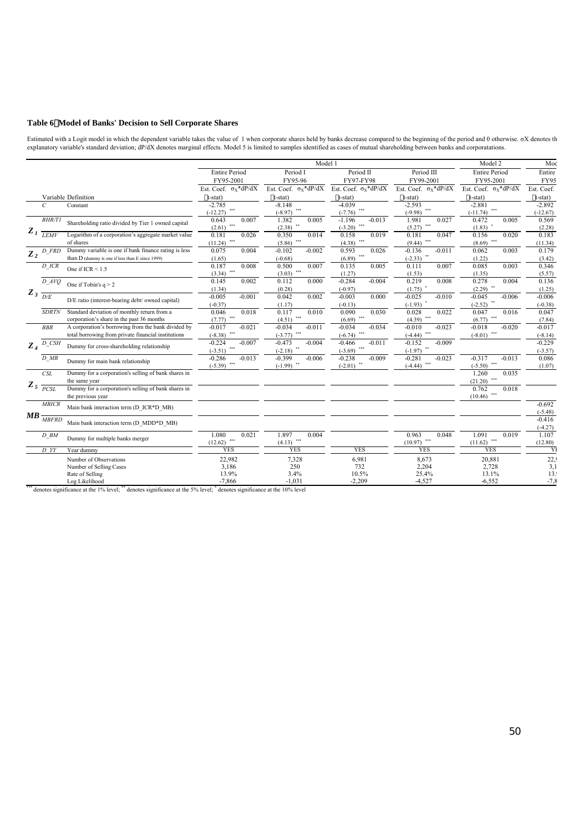#### **Table 6**:**Model of Banks' Decision to Sell Corporate Shares**

Estimated with a Logit model in which the dependent variable takes the value of 1 when corporate shares held by banks decrease compared to the beginning of the period and 0 otherwise. σX denotes th explanatory variable's standard deviation; dP/dX denotes marginal effects. Model 5 is limited to samples identified as cases of mutual shareholding between banks and corporatations.

|                      |                             |                                                                                                                           |                                 | Model 1                            |                                                | Model 2                         | Mod                                    |                |
|----------------------|-----------------------------|---------------------------------------------------------------------------------------------------------------------------|---------------------------------|------------------------------------|------------------------------------------------|---------------------------------|----------------------------------------|----------------|
|                      |                             |                                                                                                                           | <b>Entire Period</b>            | Period I                           | Period II                                      | Period III                      | <b>Entire Period</b>                   | Entire         |
|                      |                             |                                                                                                                           | FY95-2001                       | FY95-96                            | FY97-FY98                                      | FY99-2001                       | FY95-2001                              | FY95           |
|                      |                             |                                                                                                                           | Est. Coef. $\sigma_X$ *dP/dX    | Est. Coef. $\sigma_X^*dP/dX$       | Est. Coef. $\sigma_X$ *dP/dX                   | Est. Coef. $\sigma_X^*dP/dX$    | Est. Coef. $\sigma_X^*dP/dX$           | Est. Coef.     |
|                      |                             | Variable Definition                                                                                                       | t-stat)                         | t-stat)                            | t-stat)                                        | t-stat)                         | t-stat)                                | t-stat)        |
|                      | $\mathcal{C}$               | Constant                                                                                                                  | $-2.785$                        | $-8.148$                           | $-4.039$                                       | $-2.593$                        | $-2.881$                               | $-2.892$       |
|                      |                             |                                                                                                                           | $(-12.27)$ ***                  | $***$<br>$(-8.97)$                 | ***<br>$(-7.76)$                               | $\cdots$<br>$(-9.98)$           | $(-11.74)$ ***                         | $(-12.67)$     |
|                      | <b>BHR/TI</b>               | Shareholding ratio divided by Tier 1 owned capital                                                                        | 0.007<br>0.643                  | 1.382<br>0.005                     | $-1.196$<br>$-0.013$                           | 0.027<br>1.981                  | 0.472<br>0.005                         | 0.569          |
| $Z_I$                |                             |                                                                                                                           | $***$<br>(2.61)                 | $\ast\ast$<br>(2.38)               | $***$<br>$(-3.20)$                             | $\cdots$<br>(5.27)              | (1.83)                                 | (2.28)         |
|                      | LEMV                        | Logarithm of a corporation's aggregate market value                                                                       | 0.181<br>0.026                  | 0.014<br>0.350                     | 0.019<br>0.158                                 | 0.047<br>0.181                  | 0.020<br>0.156                         | 0.183          |
|                      |                             | of shares                                                                                                                 | $* * *$<br>(11.24)              | $* * *$<br>(5.86)                  | ***<br>(4.38)                                  | 888<br>(9.44)                   | <br>(8.69)                             | (11.34)        |
| $Z_2$                | D FRD                       | Dummy variable is one if bank finance rating is less                                                                      | 0.004<br>0.075                  | $-0.002$<br>$-0.102$               | 0.593<br>0.026                                 | $-0.011$<br>$-0.136$            | 0.003<br>0.062                         | 0.179          |
|                      |                             | than D (dummy is one if less than E since 1999)                                                                           | (1.65)                          | $(-0.68)$                          | $***$<br>(6.89)                                | $(-2.33)$ **                    | (1.22)                                 | (3.42)         |
|                      | $D$ $ICR$                   | One if $ICR < 1.5$                                                                                                        | 0.187<br>0.008                  | 0.500<br>0.007                     | 0.005<br>0.135                                 | 0.007<br>0.111                  | 0.085<br>0.003                         | 0.346          |
|                      |                             |                                                                                                                           | $(3.34)$ <sup>***</sup>         | $\left(3.03\right)$ ***            | (1.27)                                         | (1.53)                          | (1.35)                                 | (5.57)         |
|                      | $\overline{D}$ AVQ          | One if Tobin's $q > 2$                                                                                                    | 0.145<br>0.002                  | 0.000<br>0.112                     | $-0.284$<br>$-0.004$                           | 0.219<br>0.008                  | 0.278<br>0.004                         | 0.136          |
| $Z_3 \frac{ }{D/E}$  |                             |                                                                                                                           | (1.34)                          | (0.28)                             | $(-0.97)$                                      | (1.75)                          | $(2.29)$ **                            | (1.25)         |
|                      |                             | D/E ratio (interest-bearing debt/ owned capital)                                                                          | $-0.001$<br>$-0.005$            | 0.042<br>0.002                     | $-0.003$<br>0.000                              | $-0.010$<br>$-0.025$            | $-0.045$<br>$-0.006$                   | $-0.006$       |
|                      |                             |                                                                                                                           | $(-0.37)$                       | (1.17)                             | $(-0.13)$                                      | $(-1.93)$ <sup>*</sup>          | $(-2.52)$ **                           | $(-0.38)$      |
|                      | <b>SDRTN</b>                | Standard deviation of monthly return from a                                                                               | 0.018<br>0.046                  | 0.010<br>0.117                     | 0.090<br>0.030                                 | 0.022<br>0.028                  | 0.047<br>0.016                         | 0.047          |
|                      |                             | corporation's share in the past 36 months                                                                                 | ***<br>(7.77)                   | ***<br>(4.51)                      | ***<br>(6.69)                                  | 888<br>(4.39)                   | $(6.77)$ ***                           | (7.84)         |
|                      | <b>BBR</b>                  | A corporation's borrowing from the bank divided by                                                                        | $-0.021$<br>$-0.017$<br>$***$   | $-0.011$<br>$-0.034$<br>$* * * *$  | $-0.034$<br>$-0.034$<br>$***$                  | $-0.023$<br>$-0.010$<br>-888    | $-0.018$<br>$-0.020$                   | $-0.017$       |
|                      |                             | total borrowing from private financial institutions                                                                       | $(-8.38)$                       | $(-3.77)$                          | $(-6.74)$                                      | $(-4.44)$                       | $(-8.01)$ <sup>***</sup>               | $(-8.14)$      |
| $Z_{4}$              | D CSH                       | Dummy for cross-shareholding relationship                                                                                 | $-0.007$<br>$-0.224$<br>$***$   | $-0.004$<br>$-0.473$<br>$\ast\ast$ | $-0.466$<br>$-0.011$<br>$***$                  | $-0.152$<br>$-0.009$<br>$^{**}$ |                                        | $-0.229$       |
|                      |                             |                                                                                                                           | $(-3.51)$                       | $(-2.18)$                          | $(-3.69)$                                      | $(-1.97)$                       |                                        | $(-3.57)$      |
|                      | $D$ $MB$                    | Dummy for main bank relationship                                                                                          | $-0.013$<br>$-0.286$<br>***     | $-0.399$<br>$-0.006$               | $-0.238$<br>$-0.009$                           | $-0.023$<br>$-0.281$<br>888     | $-0.317$<br>$-0.013$                   | 0.086          |
|                      |                             |                                                                                                                           | $(-5.39)$                       | $\ast\ast$<br>$(-1.99)$            | $\begin{array}{c} 88 \end{array}$<br>$(-2.01)$ | $(-4.44)$                       | <br>$(-5.50)$                          | (1.07)         |
|                      | $\ensuremath{\mathit{CSL}}$ | Dummy for a corporation's selling of bank shares in                                                                       |                                 |                                    |                                                |                                 | 1.260<br>0.035                         |                |
| $Z_5 \frac{ }{PCSL}$ |                             | the same year                                                                                                             |                                 |                                    |                                                |                                 | $(21.20)$ ***                          |                |
|                      |                             | Dummy for a corporation's selling of bank shares in                                                                       |                                 |                                    |                                                |                                 | 0.018<br>0.762<br>                     |                |
|                      |                             | the previous year                                                                                                         |                                 |                                    |                                                |                                 | (10.46)                                |                |
|                      | <b>MBICR</b>                | Main bank interaction term (D ICR*D MB)                                                                                   |                                 |                                    |                                                |                                 |                                        | $-0.692$       |
| $MB^-$               |                             |                                                                                                                           |                                 |                                    |                                                |                                 |                                        | $(-5.48)$      |
|                      | <b>MBFRD</b>                | Main bank interaction term (D MDD*D MB)                                                                                   |                                 |                                    |                                                |                                 |                                        | $-0.416$       |
|                      |                             |                                                                                                                           |                                 |                                    |                                                |                                 |                                        | $(-4.27)$      |
|                      | $D$ $BM$                    | Dummy for multiple banks merger                                                                                           | 1.080<br>0.021<br>$(12.62)$ *** | 1.897<br>0.004                     |                                                | 0.963<br>0.048<br>$(10.97)$ *** | 1.091<br>0.019                         | 1.107          |
|                      | D YY                        | Year dummy                                                                                                                | <b>YES</b>                      | $\frac{(4.13)}{1}$<br><b>YES</b>   | <b>YES</b>                                     | <b>YES</b>                      | $(11.62)$ <sup>***</sup><br><b>YES</b> | (12.80)<br>Y   |
|                      |                             |                                                                                                                           |                                 |                                    |                                                |                                 |                                        |                |
|                      |                             | Number of Observations                                                                                                    | 22,982                          | 7,328                              | 6,981                                          | 8,673                           | 20,881                                 | 22,9           |
|                      |                             | Number of Selling Cases                                                                                                   | 3,186                           | 250                                | 732                                            | 2,204                           | 2,728                                  | 3,1            |
|                      |                             | Rate of Selling<br>Log Likelihood                                                                                         | 13.9%<br>$-7,866$               | 3.4%<br>$-1,031$                   | 10.5%<br>$-2,209$                              | 25.4%<br>$-4,527$               | 13.1%<br>$-6,552$                      | 13.5<br>$-7,8$ |
|                      |                             | denotes significance at the 1% level; $*$ denotes significance at the 5% level; $*$ denotes significance at the 10% level |                                 |                                    |                                                |                                 |                                        |                |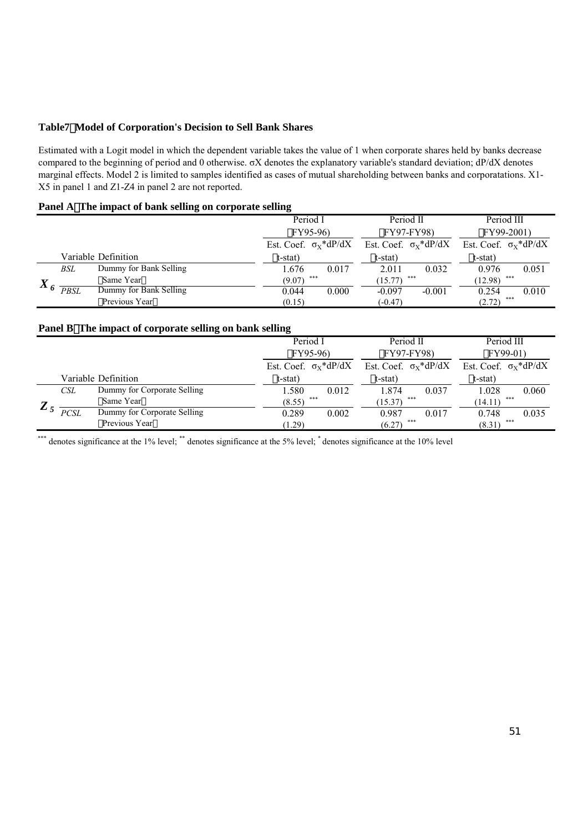# **Table7**:**Model of Corporation's Decision to Sell Bank Shares**

Estimated with a Logit model in which the dependent variable takes the value of 1 when corporate shares held by banks decrease compared to the beginning of period and 0 otherwise. σX denotes the explanatory variable's standard deviation; dP/dX denotes marginal effects. Model 2 is limited to samples identified as cases of mutual shareholding between banks and corporatations. X1- X5 in panel 1 and Z1-Z4 in panel 2 are not reported.

## **Panel A**:**The impact of bank selling on corporate selling**

|       |             |                        | Period I     |                              | Period II                    |          | Period III                   |       |
|-------|-------------|------------------------|--------------|------------------------------|------------------------------|----------|------------------------------|-------|
|       |             |                        | FY95-96)     |                              | <b>FY97-FY98)</b>            |          | FY99-2001)                   |       |
|       |             |                        |              | Est. Coef. $\sigma_X^*dP/dX$ | Est. Coef. $\sigma_X^*dP/dX$ |          | Est. Coef. $\sigma_X^*dP/dX$ |       |
|       |             | Variable Definition    | t-stat)      |                              | t-stat)                      |          | t-stat)                      |       |
|       | BSL         | Dummy for Bank Selling | 1.676        | 0.017                        | 2.011                        | 0.032    | 0.976                        | 0.051 |
| $X_6$ |             | Same Year              | $(9.07)$ *** |                              | (15.77)                      | ***      | (12.98)                      | ***   |
|       | <b>PBSL</b> | Dummy for Bank Selling | 0.044        | 0.000                        | $-0.097$                     | $-0.001$ | 0.254                        | 0.010 |
|       |             | Previous Year          | (0.15)       |                              | $(-0.47)$                    |          | $(2.72)$ ***                 |       |

### **Panel B**:**The impact of corporate selling on bank selling**

|         |             |                             |                         | Period I                     | Period II                    |            |                         | Period III                    |
|---------|-------------|-----------------------------|-------------------------|------------------------------|------------------------------|------------|-------------------------|-------------------------------|
|         |             |                             |                         | FY95-96)                     |                              | FY97-FY98) |                         | FY99-01)                      |
|         |             |                             |                         | Est. Coef. $\sigma_X^*dP/dX$ | Est. Coef. $\sigma_X^*dP/dX$ |            |                         | Est. Coef. $\sigma_X^* dP/dX$ |
|         |             | Variable Definition         | t-stat)                 |                              | t-stat)                      |            | t-stat)                 |                               |
|         | <i>CSL</i>  | Dummy for Corporate Selling | 1.580                   | 0.012                        | 1.874                        | 0.037      | .028                    | 0.060                         |
| $Z_{5}$ |             | Same Year                   | $(8.55)$ <sup>***</sup> |                              | $(15.37)$ ***                |            | (14.11)                 | ***                           |
|         | <b>PCSL</b> | Dummy for Corporate Selling | 0.289                   | 0.002                        | 0.987                        | 0.017      | 0.748                   | 0.035                         |
|         |             | Previous Year               | (1.29)                  |                              | $(6.27)$ ***                 |            | $(8.31)$ <sup>***</sup> |                               |

\*\*\* denotes significance at the 1% level; \*\* denotes significance at the 5% level; \* denotes significance at the 10% level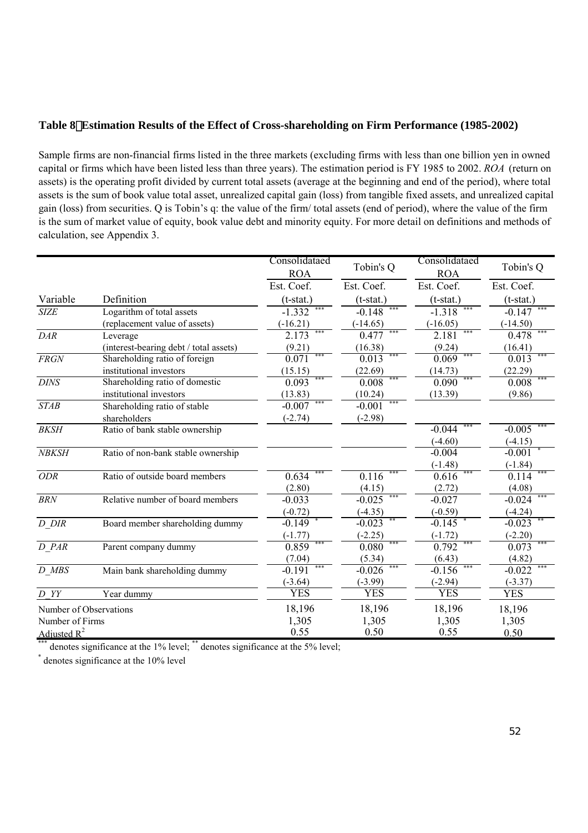# **Table 8**:**Estimation Results of the Effect of Cross-shareholding on Firm Performance (1985-2002)**

Sample firms are non-financial firms listed in the three markets (excluding firms with less than one billion yen in owned capital or firms which have been listed less than three years). The estimation period is FY 1985 to 2002. *ROA* (return on assets) is the operating profit divided by current total assets (average at the beginning and end of the period), where total assets is the sum of book value total asset, unrealized capital gain (loss) from tangible fixed assets, and unrealized capital gain (loss) from securities. Q is Tobin's q: the value of the firm/ total assets (end of period), where the value of the firm is the sum of market value of equity, book value debt and minority equity. For more detail on definitions and methods of calculation, see Appendix 3.

|                        |                                        | Consolidataed   | Tobin's Q       | Consolidataed   | Tobin's Q       |
|------------------------|----------------------------------------|-----------------|-----------------|-----------------|-----------------|
|                        |                                        | <b>ROA</b>      |                 | <b>ROA</b>      |                 |
|                        |                                        | Est. Coef.      | Est. Coef.      | Est. Coef.      | Est. Coef.      |
| Variable               | Definition                             | $(t-stat.)$     | $(t$ -stat.)    | $(t$ -stat.)    | $(t$ -stat.)    |
| <b>SIZE</b>            | Logarithm of total assets              | $-1.332$        | $-0.148$        | $-1.318$        | $-0.147$        |
|                        | (replacement value of assets)          | $(-16.21)$      | $(-14.65)$      | $(-16.05)$      | $(-14.50)$      |
| DAR                    | Leverage                               | 2.173           | ***<br>0.477    | 2.181           | 0.478           |
|                        | (interest-bearing debt / total assets) | (9.21)          | (16.38)         | (9.24)          | (16.41)         |
| <b>FRGN</b>            | Shareholding ratio of foreign          | ***<br>0.071    | ***<br>0.013    | ***<br>0.069    | 0.013           |
|                        | institutional investors                | (15.15)         | (22.69)         | (14.73)         | (22.29)         |
| <b>DINS</b>            | Shareholding ratio of domestic         | ***<br>0.093    | ***<br>0.008    | ***<br>0.090    | 0.008           |
|                        | institutional investors                | (13.83)         | (10.24)         | (13.39)         | (9.86)          |
| <b>STAB</b>            | Shareholding ratio of stable           | ***<br>$-0.007$ | ***<br>$-0.001$ |                 |                 |
|                        | shareholders                           | $(-2.74)$       | $(-2.98)$       |                 |                 |
| <b>BKSH</b>            | Ratio of bank stable ownership         |                 |                 | $-0.044$        | $-0.005$        |
|                        |                                        |                 |                 | $(-4.60)$       | $(-4.15)$       |
| NBKSH                  | Ratio of non-bank stable ownership     |                 |                 | $-0.004$        | $-0.001$        |
|                        |                                        |                 |                 | $(-1.48)$       | $(-1.84)$       |
| <b>ODR</b>             | Ratio of outside board members         | 0.634           | 0.116           | 0.616           | 0.114           |
|                        |                                        | (2.80)          | (4.15)          | (2.72)          | (4.08)          |
| <b>BRN</b>             | Relative number of board members       | $-0.033$        | ***<br>$-0.025$ | $-0.027$        | $-0.024$        |
|                        |                                        | $(-0.72)$       | $(-4.35)$       | $(-0.59)$       | $(-4.24)$       |
| $D$ <sub>D</sub> $IR$  | Board member shareholding dummy        | $-0.149$        | **<br>$-0.023$  | $-0.145$        | $-0.023$        |
|                        |                                        | $(-1.77)$       | $(-2.25)$       | $(-1.72)$       | $(-2.20)$       |
| D PAR                  | Parent company dummy                   | ***<br>0.859    | ***<br>0.080    | ***<br>0.792    | ***<br>0.073    |
|                        |                                        | (7.04)          | (5.34)          | (6.43)          | (4.82)          |
| D MBS                  | Main bank shareholding dummy           | ***<br>$-0.191$ | ***<br>$-0.026$ | ***<br>$-0.156$ | ***<br>$-0.022$ |
|                        |                                        | $(-3.64)$       | $(-3.99)$       | $(-2.94)$       | $(-3.37)$       |
| D YY                   | Year dummy                             | YES             | <b>YES</b>      | YES             | <b>YES</b>      |
| Number of Observations |                                        | 18,196          | 18,196          | 18,196          | 18,196          |
| Number of Firms        |                                        | 1,305           | 1,305           | 1,305           | 1,305           |
| Adjusted $R^2$         |                                        | 0.55            | 0.50            | 0.55            | 0.50            |

\*\*\* denotes significance at the 1% level; \*\* denotes significance at the 5% level;

\* denotes significance at the 10% level